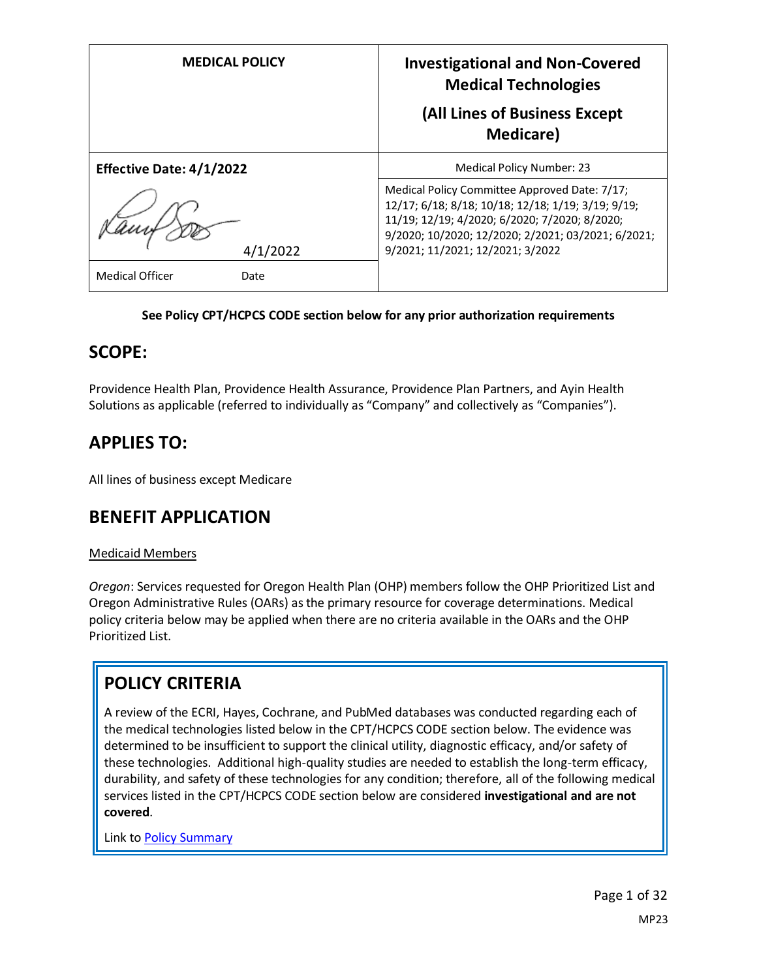| <b>MEDICAL POLICY</b>           | <b>Investigational and Non-Covered</b><br><b>Medical Technologies</b><br>(All Lines of Business Except<br><b>Medicare</b> )                                                                                                                    |
|---------------------------------|------------------------------------------------------------------------------------------------------------------------------------------------------------------------------------------------------------------------------------------------|
| <b>Effective Date: 4/1/2022</b> | Medical Policy Number: 23                                                                                                                                                                                                                      |
| 4/1/2022                        | Medical Policy Committee Approved Date: 7/17;<br>12/17; 6/18; 8/18; 10/18; 12/18; 1/19; 3/19; 9/19;<br>11/19; 12/19; 4/2020; 6/2020; 7/2020; 8/2020;<br>9/2020; 10/2020; 12/2020; 2/2021; 03/2021; 6/2021;<br>9/2021; 11/2021; 12/2021; 3/2022 |
| <b>Medical Officer</b><br>Date  |                                                                                                                                                                                                                                                |

#### **See Policy CPT/HCPCS CODE section below for any prior authorization requirements**

#### **SCOPE:**

Providence Health Plan, Providence Health Assurance, Providence Plan Partners, and Ayin Health Solutions as applicable (referred to individually as "Company" and collectively as "Companies").

# **APPLIES TO:**

All lines of business except Medicare

#### **BENEFIT APPLICATION**

#### Medicaid Members

*Oregon*: Services requested for Oregon Health Plan (OHP) members follow the OHP Prioritized List and Oregon Administrative Rules (OARs) as the primary resource for coverage determinations. Medical policy criteria below may be applied when there are no criteria available in the OARs and the OHP Prioritized List.

# **POLICY CRITERIA**

A review of the ECRI, Hayes, Cochrane, and PubMed databases was conducted regarding each of the medical technologies listed below in the CPT/HCPCS CODE section below. The evidence was determined to be insufficient to support the clinical utility, diagnostic efficacy, and/or safety of these technologies. Additional high-quality studies are needed to establish the long-term efficacy, durability, and safety of these technologies for any condition; therefore, all of the following medical services listed in the CPT/HCPCS CODE section below are considered **investigational and are not covered**.

Link t[o Policy Summary](#page-31-0)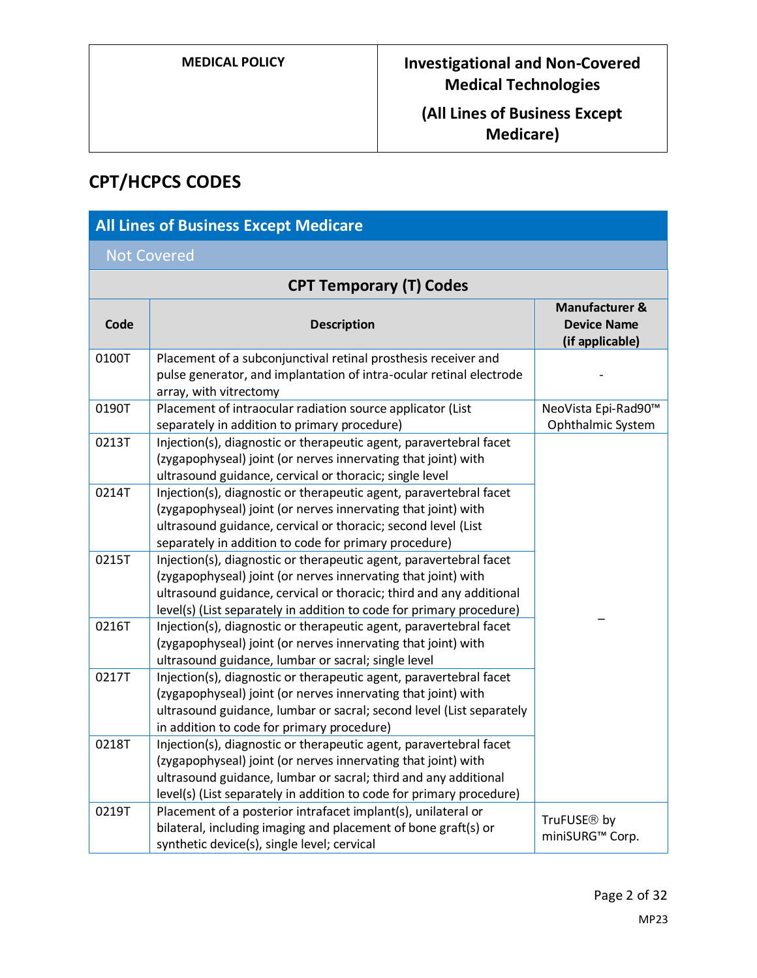# **(All Lines of Business Except Medicare)**

# **CPT/HCPCS CODES**

| <b>All Lines of Business Except Medicare</b> |                                                                                                                                                                                                                                                                                    |                                                                    |
|----------------------------------------------|------------------------------------------------------------------------------------------------------------------------------------------------------------------------------------------------------------------------------------------------------------------------------------|--------------------------------------------------------------------|
| <b>Not Covered</b>                           |                                                                                                                                                                                                                                                                                    |                                                                    |
| <b>CPT Temporary (T) Codes</b>               |                                                                                                                                                                                                                                                                                    |                                                                    |
| Code                                         | <b>Description</b>                                                                                                                                                                                                                                                                 | <b>Manufacturer &amp;</b><br><b>Device Name</b><br>(if applicable) |
| 0100T                                        | Placement of a subconjunctival retinal prosthesis receiver and<br>pulse generator, and implantation of intra-ocular retinal electrode<br>array, with vitrectomy                                                                                                                    |                                                                    |
| 0190T                                        | Placement of intraocular radiation source applicator (List<br>separately in addition to primary procedure)                                                                                                                                                                         | NeoVista Epi-Rad90™<br>Ophthalmic System                           |
| 0213T                                        | Injection(s), diagnostic or therapeutic agent, paravertebral facet<br>(zygapophyseal) joint (or nerves innervating that joint) with<br>ultrasound guidance, cervical or thoracic; single level                                                                                     |                                                                    |
| 0214T                                        | Injection(s), diagnostic or therapeutic agent, paravertebral facet<br>(zygapophyseal) joint (or nerves innervating that joint) with<br>ultrasound guidance, cervical or thoracic; second level (List<br>separately in addition to code for primary procedure)                      |                                                                    |
| 0215T                                        | Injection(s), diagnostic or therapeutic agent, paravertebral facet<br>(zygapophyseal) joint (or nerves innervating that joint) with<br>ultrasound guidance, cervical or thoracic; third and any additional<br>level(s) (List separately in addition to code for primary procedure) |                                                                    |
| 0216T                                        | Injection(s), diagnostic or therapeutic agent, paravertebral facet<br>(zygapophyseal) joint (or nerves innervating that joint) with<br>ultrasound guidance, lumbar or sacral; single level                                                                                         |                                                                    |
| 0217T                                        | Injection(s), diagnostic or therapeutic agent, paravertebral facet<br>(zygapophyseal) joint (or nerves innervating that joint) with<br>ultrasound guidance, lumbar or sacral; second level (List separately<br>in addition to code for primary procedure)                          |                                                                    |
| 0218T                                        | Injection(s), diagnostic or therapeutic agent, paravertebral facet<br>(zygapophyseal) joint (or nerves innervating that joint) with<br>ultrasound guidance, lumbar or sacral; third and any additional<br>level(s) (List separately in addition to code for primary procedure)     |                                                                    |
| 0219T                                        | Placement of a posterior intrafacet implant(s), unilateral or<br>bilateral, including imaging and placement of bone graft(s) or<br>synthetic device(s), single level; cervical                                                                                                     | TruFUSE <sup>®</sup> by<br>miniSURG™ Corp.                         |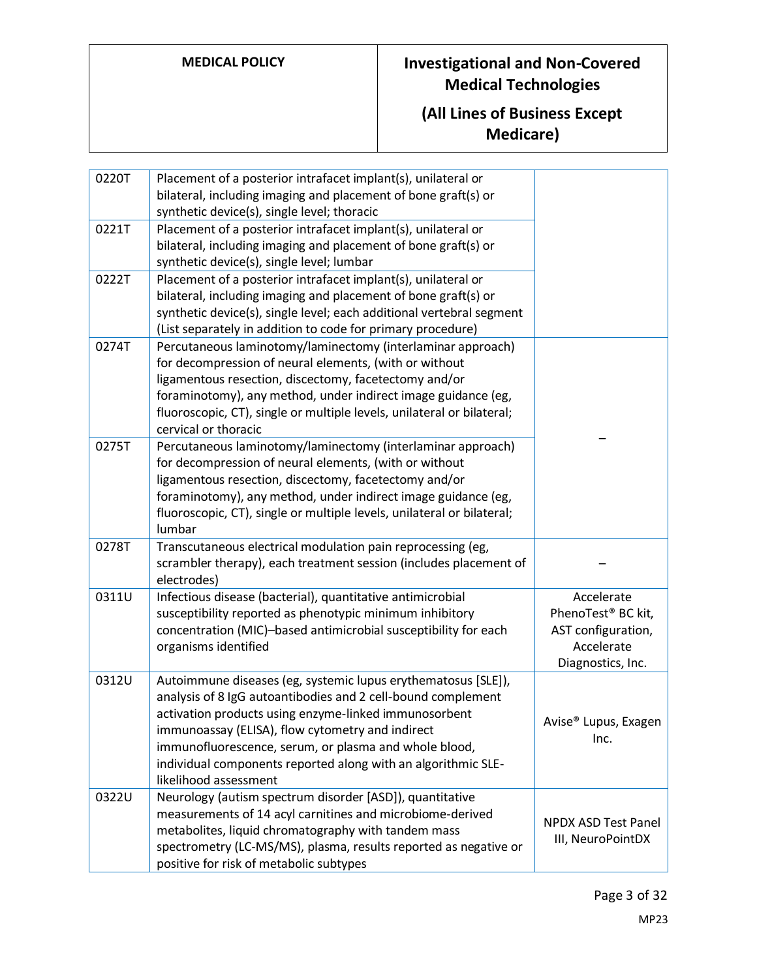| 0220T | Placement of a posterior intrafacet implant(s), unilateral or<br>bilateral, including imaging and placement of bone graft(s) or<br>synthetic device(s), single level; thoracic                                                                                                                                                                                                                |                                                                                                       |
|-------|-----------------------------------------------------------------------------------------------------------------------------------------------------------------------------------------------------------------------------------------------------------------------------------------------------------------------------------------------------------------------------------------------|-------------------------------------------------------------------------------------------------------|
| 0221T | Placement of a posterior intrafacet implant(s), unilateral or<br>bilateral, including imaging and placement of bone graft(s) or<br>synthetic device(s), single level; lumbar                                                                                                                                                                                                                  |                                                                                                       |
| 0222T | Placement of a posterior intrafacet implant(s), unilateral or<br>bilateral, including imaging and placement of bone graft(s) or<br>synthetic device(s), single level; each additional vertebral segment<br>(List separately in addition to code for primary procedure)                                                                                                                        |                                                                                                       |
| 0274T | Percutaneous laminotomy/laminectomy (interlaminar approach)<br>for decompression of neural elements, (with or without<br>ligamentous resection, discectomy, facetectomy and/or<br>foraminotomy), any method, under indirect image guidance (eg,<br>fluoroscopic, CT), single or multiple levels, unilateral or bilateral;<br>cervical or thoracic                                             |                                                                                                       |
| 0275T | Percutaneous laminotomy/laminectomy (interlaminar approach)<br>for decompression of neural elements, (with or without<br>ligamentous resection, discectomy, facetectomy and/or<br>foraminotomy), any method, under indirect image guidance (eg,<br>fluoroscopic, CT), single or multiple levels, unilateral or bilateral;<br>lumbar                                                           |                                                                                                       |
| 0278T | Transcutaneous electrical modulation pain reprocessing (eg,<br>scrambler therapy), each treatment session (includes placement of<br>electrodes)                                                                                                                                                                                                                                               |                                                                                                       |
| 0311U | Infectious disease (bacterial), quantitative antimicrobial<br>susceptibility reported as phenotypic minimum inhibitory<br>concentration (MIC)-based antimicrobial susceptibility for each<br>organisms identified                                                                                                                                                                             | Accelerate<br>PhenoTest <sup>®</sup> BC kit,<br>AST configuration,<br>Accelerate<br>Diagnostics, Inc. |
| 0312U | Autoimmune diseases (eg, systemic lupus erythematosus [SLE]),<br>analysis of 8 IgG autoantibodies and 2 cell-bound complement<br>activation products using enzyme-linked immunosorbent<br>immunoassay (ELISA), flow cytometry and indirect<br>immunofluorescence, serum, or plasma and whole blood,<br>individual components reported along with an algorithmic SLE-<br>likelihood assessment | Avise® Lupus, Exagen<br>Inc.                                                                          |
| 0322U | Neurology (autism spectrum disorder [ASD]), quantitative<br>measurements of 14 acyl carnitines and microbiome-derived<br>metabolites, liquid chromatography with tandem mass<br>spectrometry (LC-MS/MS), plasma, results reported as negative or<br>positive for risk of metabolic subtypes                                                                                                   | <b>NPDX ASD Test Panel</b><br>III, NeuroPointDX                                                       |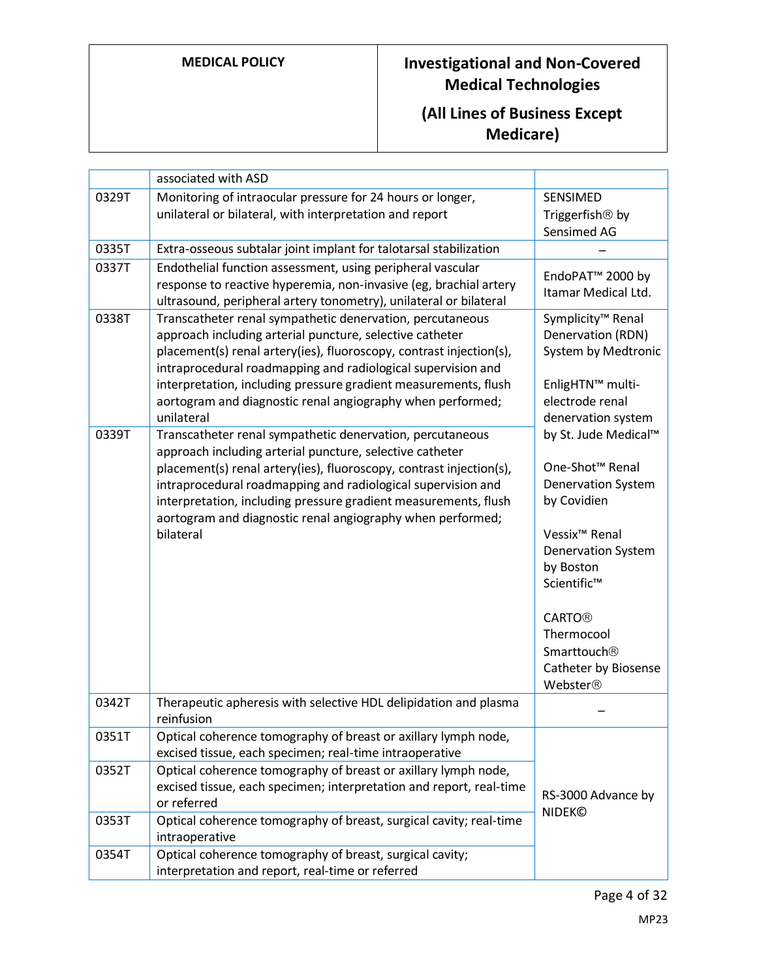|       | associated with ASD                                                                                                                                                                                                                                                                                                                                                                                         |                                                                                                                                                                                                                                                                                     |
|-------|-------------------------------------------------------------------------------------------------------------------------------------------------------------------------------------------------------------------------------------------------------------------------------------------------------------------------------------------------------------------------------------------------------------|-------------------------------------------------------------------------------------------------------------------------------------------------------------------------------------------------------------------------------------------------------------------------------------|
| 0329T | Monitoring of intraocular pressure for 24 hours or longer,                                                                                                                                                                                                                                                                                                                                                  | SENSIMED                                                                                                                                                                                                                                                                            |
|       | unilateral or bilateral, with interpretation and report                                                                                                                                                                                                                                                                                                                                                     | Triggerfish <sup>®</sup> by                                                                                                                                                                                                                                                         |
|       |                                                                                                                                                                                                                                                                                                                                                                                                             | Sensimed AG                                                                                                                                                                                                                                                                         |
| 0335T | Extra-osseous subtalar joint implant for talotarsal stabilization                                                                                                                                                                                                                                                                                                                                           |                                                                                                                                                                                                                                                                                     |
| 0337T | Endothelial function assessment, using peripheral vascular<br>response to reactive hyperemia, non-invasive (eg, brachial artery<br>ultrasound, peripheral artery tonometry), unilateral or bilateral                                                                                                                                                                                                        | EndoPAT <sup>™</sup> 2000 by<br>Itamar Medical Ltd.                                                                                                                                                                                                                                 |
| 0338T | Transcatheter renal sympathetic denervation, percutaneous<br>approach including arterial puncture, selective catheter<br>placement(s) renal artery(ies), fluoroscopy, contrast injection(s),<br>intraprocedural roadmapping and radiological supervision and<br>interpretation, including pressure gradient measurements, flush<br>aortogram and diagnostic renal angiography when performed;<br>unilateral | Symplicity <sup>™</sup> Renal<br>Denervation (RDN)<br>System by Medtronic<br>EnligHTN™ multi-<br>electrode renal<br>denervation system                                                                                                                                              |
| 0339T | Transcatheter renal sympathetic denervation, percutaneous<br>approach including arterial puncture, selective catheter<br>placement(s) renal artery(ies), fluoroscopy, contrast injection(s),<br>intraprocedural roadmapping and radiological supervision and<br>interpretation, including pressure gradient measurements, flush<br>aortogram and diagnostic renal angiography when performed;<br>bilateral  | by St. Jude Medical™<br>One-Shot <sup>™</sup> Renal<br><b>Denervation System</b><br>by Covidien<br>Vessix <sup>™</sup> Renal<br><b>Denervation System</b><br>by Boston<br>Scientific™<br><b>CARTO®</b><br>Thermocool<br>Smarttouch <sup>®</sup><br>Catheter by Biosense<br>Webster® |
| 0342T | Therapeutic apheresis with selective HDL delipidation and plasma<br>reinfusion                                                                                                                                                                                                                                                                                                                              |                                                                                                                                                                                                                                                                                     |
| 0351T | Optical coherence tomography of breast or axillary lymph node,<br>excised tissue, each specimen; real-time intraoperative                                                                                                                                                                                                                                                                                   |                                                                                                                                                                                                                                                                                     |
| 0352T | Optical coherence tomography of breast or axillary lymph node,<br>excised tissue, each specimen; interpretation and report, real-time<br>or referred                                                                                                                                                                                                                                                        | RS-3000 Advance by<br><b>NIDEK©</b>                                                                                                                                                                                                                                                 |
| 0353T | Optical coherence tomography of breast, surgical cavity; real-time<br>intraoperative                                                                                                                                                                                                                                                                                                                        |                                                                                                                                                                                                                                                                                     |
| 0354T | Optical coherence tomography of breast, surgical cavity;<br>interpretation and report, real-time or referred                                                                                                                                                                                                                                                                                                |                                                                                                                                                                                                                                                                                     |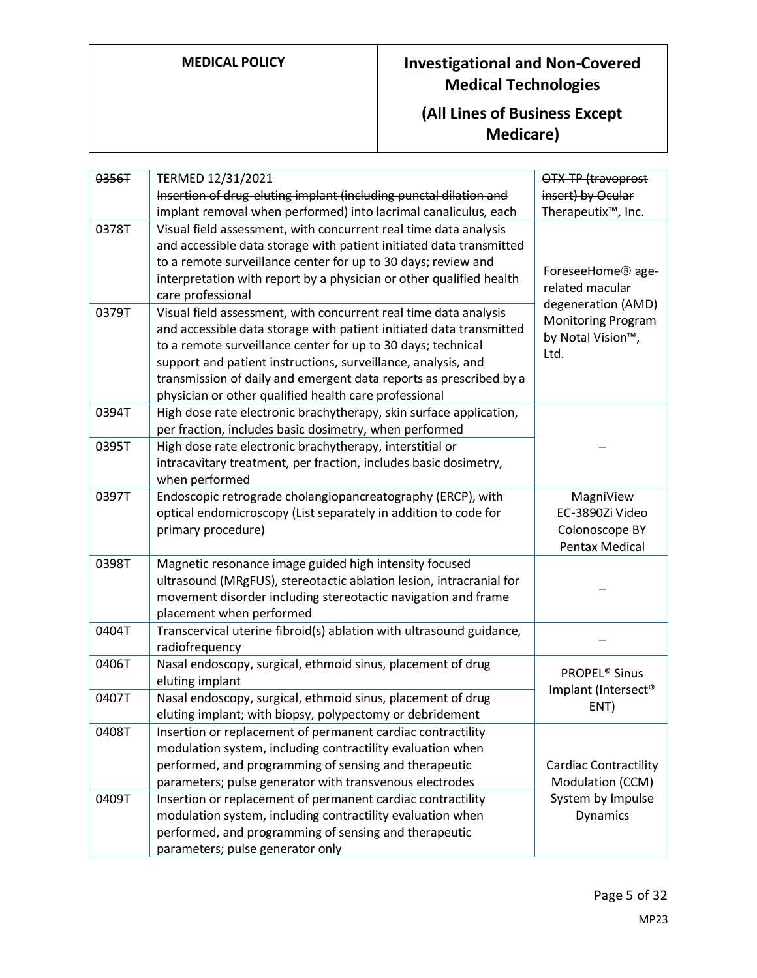| 0356T | TERMED 12/31/2021<br>Insertion of drug-eluting implant (including punctal dilation and<br>implant removal when performed) into lacrimal canaliculus, each                                                                                                                                                                                                                                               | OTX-TP (travoprost<br>insert) by Ocular<br>Therapeutix <sup>™</sup> , Inc.   |
|-------|---------------------------------------------------------------------------------------------------------------------------------------------------------------------------------------------------------------------------------------------------------------------------------------------------------------------------------------------------------------------------------------------------------|------------------------------------------------------------------------------|
| 0378T | Visual field assessment, with concurrent real time data analysis<br>and accessible data storage with patient initiated data transmitted<br>to a remote surveillance center for up to 30 days; review and<br>interpretation with report by a physician or other qualified health<br>care professional                                                                                                    | ForeseeHome <sup>®</sup> age-<br>related macular                             |
| 0379T | Visual field assessment, with concurrent real time data analysis<br>and accessible data storage with patient initiated data transmitted<br>to a remote surveillance center for up to 30 days; technical<br>support and patient instructions, surveillance, analysis, and<br>transmission of daily and emergent data reports as prescribed by a<br>physician or other qualified health care professional | degeneration (AMD)<br><b>Monitoring Program</b><br>by Notal Vision™,<br>Ltd. |
| 0394T | High dose rate electronic brachytherapy, skin surface application,<br>per fraction, includes basic dosimetry, when performed                                                                                                                                                                                                                                                                            |                                                                              |
| 0395T | High dose rate electronic brachytherapy, interstitial or<br>intracavitary treatment, per fraction, includes basic dosimetry,<br>when performed                                                                                                                                                                                                                                                          |                                                                              |
| 0397T | Endoscopic retrograde cholangiopancreatography (ERCP), with<br>optical endomicroscopy (List separately in addition to code for<br>primary procedure)                                                                                                                                                                                                                                                    | MagniView<br>EC-3890Zi Video<br>Colonoscope BY<br><b>Pentax Medical</b>      |
| 0398T | Magnetic resonance image guided high intensity focused<br>ultrasound (MRgFUS), stereotactic ablation lesion, intracranial for<br>movement disorder including stereotactic navigation and frame<br>placement when performed                                                                                                                                                                              |                                                                              |
| 0404T | Transcervical uterine fibroid(s) ablation with ultrasound guidance,<br>radiofrequency                                                                                                                                                                                                                                                                                                                   |                                                                              |
| 0406T | Nasal endoscopy, surgical, ethmoid sinus, placement of drug<br>eluting implant                                                                                                                                                                                                                                                                                                                          | <b>PROPEL® Sinus</b><br>Implant (Intersect®<br>ENT)                          |
| 0407T | Nasal endoscopy, surgical, ethmoid sinus, placement of drug<br>eluting implant; with biopsy, polypectomy or debridement                                                                                                                                                                                                                                                                                 |                                                                              |
| 0408T | Insertion or replacement of permanent cardiac contractility<br>modulation system, including contractility evaluation when<br>performed, and programming of sensing and therapeutic<br>parameters; pulse generator with transvenous electrodes                                                                                                                                                           | <b>Cardiac Contractility</b><br>Modulation (CCM)                             |
| 0409T | Insertion or replacement of permanent cardiac contractility<br>modulation system, including contractility evaluation when<br>performed, and programming of sensing and therapeutic<br>parameters; pulse generator only                                                                                                                                                                                  | System by Impulse<br>Dynamics                                                |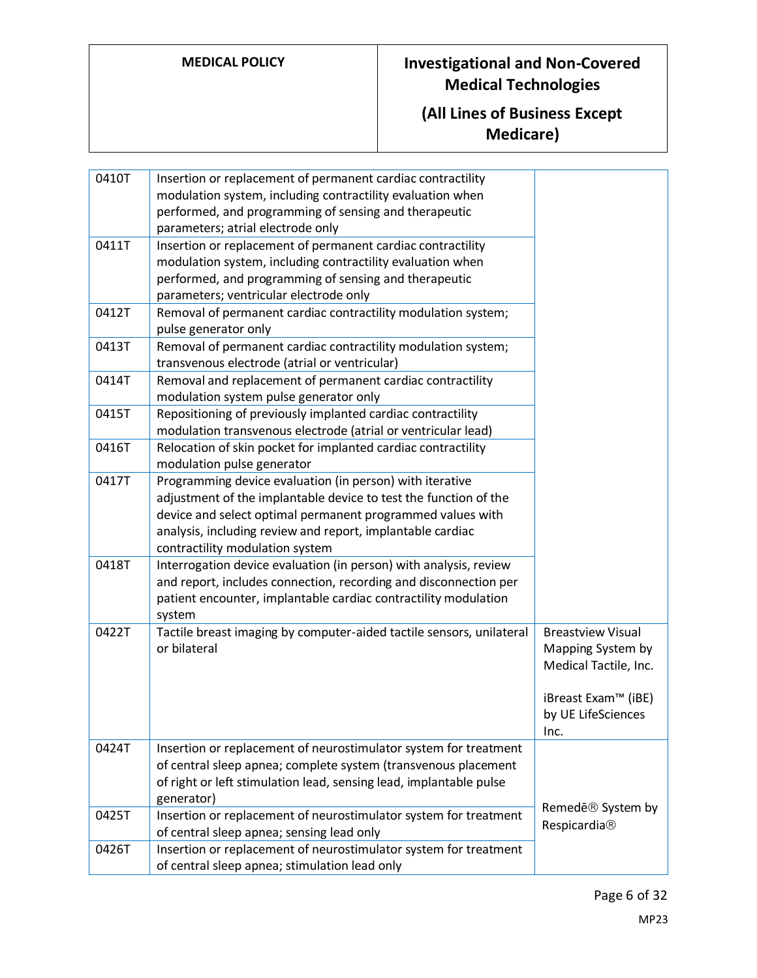| 0410T | Insertion or replacement of permanent cardiac contractility<br>modulation system, including contractility evaluation when<br>performed, and programming of sensing and therapeutic<br>parameters; atrial electrode only                                                                     |                                                                                                                             |
|-------|---------------------------------------------------------------------------------------------------------------------------------------------------------------------------------------------------------------------------------------------------------------------------------------------|-----------------------------------------------------------------------------------------------------------------------------|
| 0411T | Insertion or replacement of permanent cardiac contractility<br>modulation system, including contractility evaluation when<br>performed, and programming of sensing and therapeutic<br>parameters; ventricular electrode only                                                                |                                                                                                                             |
| 0412T | Removal of permanent cardiac contractility modulation system;<br>pulse generator only                                                                                                                                                                                                       |                                                                                                                             |
| 0413T | Removal of permanent cardiac contractility modulation system;<br>transvenous electrode (atrial or ventricular)                                                                                                                                                                              |                                                                                                                             |
| 0414T | Removal and replacement of permanent cardiac contractility<br>modulation system pulse generator only                                                                                                                                                                                        |                                                                                                                             |
| 0415T | Repositioning of previously implanted cardiac contractility<br>modulation transvenous electrode (atrial or ventricular lead)                                                                                                                                                                |                                                                                                                             |
| 0416T | Relocation of skin pocket for implanted cardiac contractility<br>modulation pulse generator                                                                                                                                                                                                 |                                                                                                                             |
| 0417T | Programming device evaluation (in person) with iterative<br>adjustment of the implantable device to test the function of the<br>device and select optimal permanent programmed values with<br>analysis, including review and report, implantable cardiac<br>contractility modulation system |                                                                                                                             |
| 0418T | Interrogation device evaluation (in person) with analysis, review<br>and report, includes connection, recording and disconnection per<br>patient encounter, implantable cardiac contractility modulation<br>system                                                                          |                                                                                                                             |
| 0422T | Tactile breast imaging by computer-aided tactile sensors, unilateral<br>or bilateral                                                                                                                                                                                                        | <b>Breastview Visual</b><br>Mapping System by<br>Medical Tactile, Inc.<br>iBreast Exam™ (iBE)<br>by UE LifeSciences<br>Inc. |
| 0424T | Insertion or replacement of neurostimulator system for treatment<br>of central sleep apnea; complete system (transvenous placement<br>of right or left stimulation lead, sensing lead, implantable pulse<br>generator)                                                                      |                                                                                                                             |
| 0425T | Insertion or replacement of neurostimulator system for treatment<br>of central sleep apnea; sensing lead only                                                                                                                                                                               | Remede <sup>®</sup> System by<br>Respicardia®                                                                               |
| 0426T | Insertion or replacement of neurostimulator system for treatment<br>of central sleep apnea; stimulation lead only                                                                                                                                                                           |                                                                                                                             |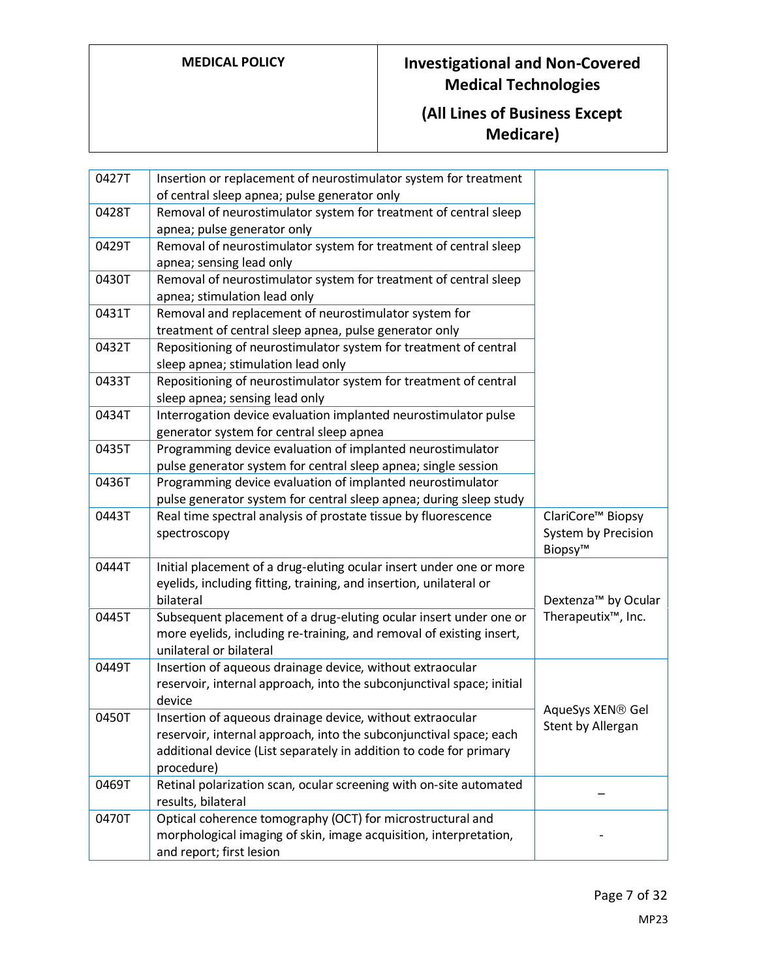| 0427T | Insertion or replacement of neurostimulator system for treatment<br>of central sleep apnea; pulse generator only                                                     |                                                                 |
|-------|----------------------------------------------------------------------------------------------------------------------------------------------------------------------|-----------------------------------------------------------------|
| 0428T | Removal of neurostimulator system for treatment of central sleep                                                                                                     |                                                                 |
|       | apnea; pulse generator only                                                                                                                                          |                                                                 |
| 0429T | Removal of neurostimulator system for treatment of central sleep                                                                                                     |                                                                 |
|       | apnea; sensing lead only                                                                                                                                             |                                                                 |
| 0430T | Removal of neurostimulator system for treatment of central sleep                                                                                                     |                                                                 |
|       | apnea; stimulation lead only                                                                                                                                         |                                                                 |
| 0431T | Removal and replacement of neurostimulator system for                                                                                                                |                                                                 |
|       | treatment of central sleep apnea, pulse generator only                                                                                                               |                                                                 |
| 0432T | Repositioning of neurostimulator system for treatment of central                                                                                                     |                                                                 |
|       | sleep apnea; stimulation lead only                                                                                                                                   |                                                                 |
| 0433T | Repositioning of neurostimulator system for treatment of central                                                                                                     |                                                                 |
|       | sleep apnea; sensing lead only                                                                                                                                       |                                                                 |
| 0434T | Interrogation device evaluation implanted neurostimulator pulse                                                                                                      |                                                                 |
|       | generator system for central sleep apnea                                                                                                                             |                                                                 |
| 0435T | Programming device evaluation of implanted neurostimulator                                                                                                           |                                                                 |
|       | pulse generator system for central sleep apnea; single session                                                                                                       |                                                                 |
| 0436T | Programming device evaluation of implanted neurostimulator                                                                                                           |                                                                 |
|       | pulse generator system for central sleep apnea; during sleep study                                                                                                   |                                                                 |
| 0443T | Real time spectral analysis of prostate tissue by fluorescence<br>spectroscopy                                                                                       | ClariCore <sup>™</sup> Biopsy<br>System by Precision<br>Biopsy™ |
| 0444T | Initial placement of a drug-eluting ocular insert under one or more<br>eyelids, including fitting, training, and insertion, unilateral or<br>bilateral               | Dextenza <sup>™</sup> by Ocular                                 |
| 0445T | Subsequent placement of a drug-eluting ocular insert under one or<br>more eyelids, including re-training, and removal of existing insert,<br>unilateral or bilateral | Therapeutix <sup>™</sup> , Inc.                                 |
| 0449T | Insertion of aqueous drainage device, without extraocular<br>reservoir, internal approach, into the subconjunctival space; initial<br>device                         | AqueSys XEN <sup>®</sup> Gel                                    |
| 0450T | Insertion of aqueous drainage device, without extraocular                                                                                                            | Stent by Allergan                                               |
|       | reservoir, internal approach, into the subconjunctival space; each<br>additional device (List separately in addition to code for primary<br>procedure)               |                                                                 |
| 0469T | Retinal polarization scan, ocular screening with on-site automated<br>results, bilateral                                                                             |                                                                 |
| 0470T | Optical coherence tomography (OCT) for microstructural and<br>morphological imaging of skin, image acquisition, interpretation,<br>and report; first lesion          |                                                                 |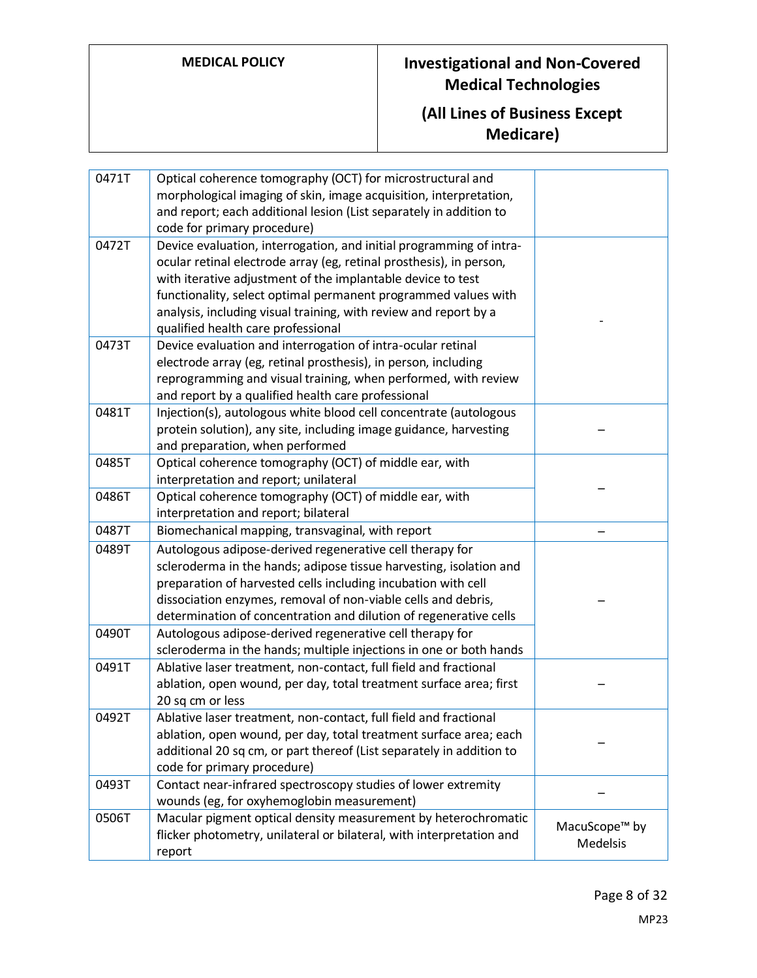| 0471T | Optical coherence tomography (OCT) for microstructural and           |                           |
|-------|----------------------------------------------------------------------|---------------------------|
|       | morphological imaging of skin, image acquisition, interpretation,    |                           |
|       | and report; each additional lesion (List separately in addition to   |                           |
|       | code for primary procedure)                                          |                           |
| 0472T | Device evaluation, interrogation, and initial programming of intra-  |                           |
|       | ocular retinal electrode array (eg, retinal prosthesis), in person,  |                           |
|       | with iterative adjustment of the implantable device to test          |                           |
|       | functionality, select optimal permanent programmed values with       |                           |
|       | analysis, including visual training, with review and report by a     |                           |
|       | qualified health care professional                                   |                           |
| 0473T | Device evaluation and interrogation of intra-ocular retinal          |                           |
|       | electrode array (eg, retinal prosthesis), in person, including       |                           |
|       | reprogramming and visual training, when performed, with review       |                           |
|       | and report by a qualified health care professional                   |                           |
| 0481T | Injection(s), autologous white blood cell concentrate (autologous    |                           |
|       | protein solution), any site, including image guidance, harvesting    |                           |
|       | and preparation, when performed                                      |                           |
| 0485T | Optical coherence tomography (OCT) of middle ear, with               |                           |
|       | interpretation and report; unilateral                                |                           |
| 0486T | Optical coherence tomography (OCT) of middle ear, with               |                           |
|       | interpretation and report; bilateral                                 |                           |
| 0487T | Biomechanical mapping, transvaginal, with report                     |                           |
| 0489T | Autologous adipose-derived regenerative cell therapy for             |                           |
|       | scleroderma in the hands; adipose tissue harvesting, isolation and   |                           |
|       | preparation of harvested cells including incubation with cell        |                           |
|       | dissociation enzymes, removal of non-viable cells and debris,        |                           |
|       | determination of concentration and dilution of regenerative cells    |                           |
| 0490T | Autologous adipose-derived regenerative cell therapy for             |                           |
|       | scleroderma in the hands; multiple injections in one or both hands   |                           |
| 0491T | Ablative laser treatment, non-contact, full field and fractional     |                           |
|       | ablation, open wound, per day, total treatment surface area; first   |                           |
|       | 20 sq cm or less                                                     |                           |
| 0492T | Ablative laser treatment, non-contact, full field and fractional     |                           |
|       | ablation, open wound, per day, total treatment surface area; each    |                           |
|       | additional 20 sq cm, or part thereof (List separately in addition to |                           |
|       | code for primary procedure)                                          |                           |
| 0493T | Contact near-infrared spectroscopy studies of lower extremity        |                           |
|       | wounds (eg, for oxyhemoglobin measurement)                           |                           |
| 0506T | Macular pigment optical density measurement by heterochromatic       | MacuScope <sup>™</sup> by |
|       | flicker photometry, unilateral or bilateral, with interpretation and | <b>Medelsis</b>           |
|       | report                                                               |                           |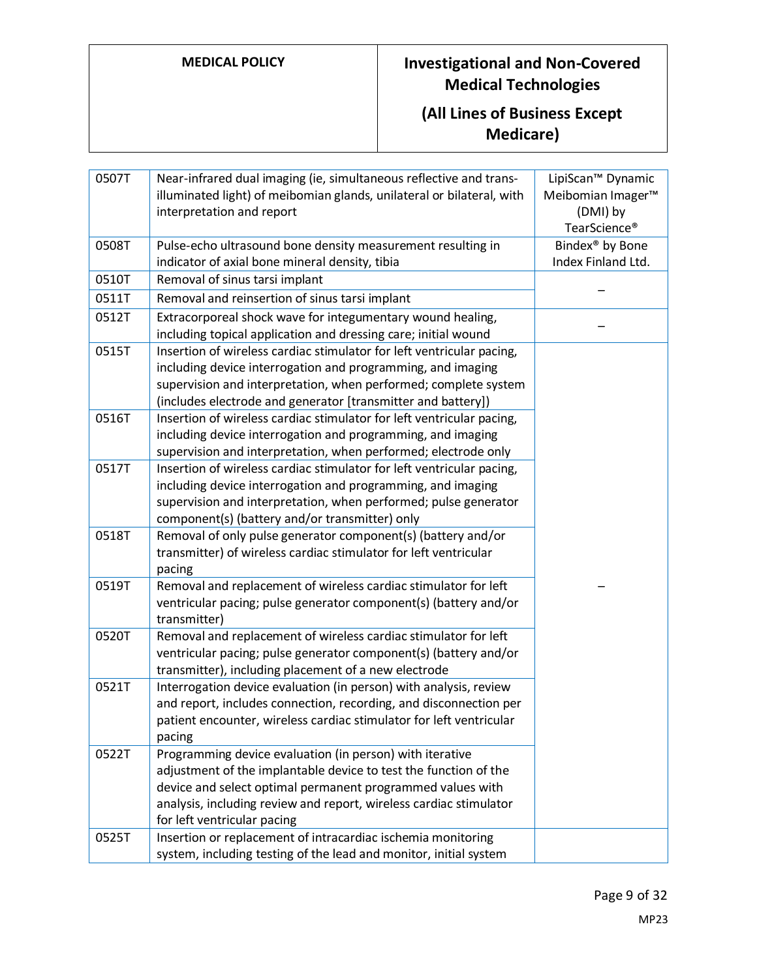| 0507T | Near-infrared dual imaging (ie, simultaneous reflective and trans-    | LipiScan <sup>™</sup> Dynamic |
|-------|-----------------------------------------------------------------------|-------------------------------|
|       | illuminated light) of meibomian glands, unilateral or bilateral, with | Meibomian Imager <sup>™</sup> |
|       | interpretation and report                                             | (DMI) by                      |
|       |                                                                       | TearScience <sup>®</sup>      |
| 0508T | Pulse-echo ultrasound bone density measurement resulting in           | Bindex <sup>®</sup> by Bone   |
|       | indicator of axial bone mineral density, tibia                        | Index Finland Ltd.            |
| 0510T | Removal of sinus tarsi implant                                        |                               |
| 0511T | Removal and reinsertion of sinus tarsi implant                        |                               |
| 0512T | Extracorporeal shock wave for integumentary wound healing,            |                               |
|       | including topical application and dressing care; initial wound        |                               |
| 0515T | Insertion of wireless cardiac stimulator for left ventricular pacing, |                               |
|       | including device interrogation and programming, and imaging           |                               |
|       | supervision and interpretation, when performed; complete system       |                               |
|       | (includes electrode and generator [transmitter and battery])          |                               |
| 0516T | Insertion of wireless cardiac stimulator for left ventricular pacing, |                               |
|       | including device interrogation and programming, and imaging           |                               |
|       | supervision and interpretation, when performed; electrode only        |                               |
| 0517T | Insertion of wireless cardiac stimulator for left ventricular pacing, |                               |
|       | including device interrogation and programming, and imaging           |                               |
|       | supervision and interpretation, when performed; pulse generator       |                               |
|       | component(s) (battery and/or transmitter) only                        |                               |
| 0518T | Removal of only pulse generator component(s) (battery and/or          |                               |
|       | transmitter) of wireless cardiac stimulator for left ventricular      |                               |
|       | pacing                                                                |                               |
| 0519T | Removal and replacement of wireless cardiac stimulator for left       |                               |
|       | ventricular pacing; pulse generator component(s) (battery and/or      |                               |
|       | transmitter)                                                          |                               |
| 0520T | Removal and replacement of wireless cardiac stimulator for left       |                               |
|       | ventricular pacing; pulse generator component(s) (battery and/or      |                               |
|       | transmitter), including placement of a new electrode                  |                               |
| 0521T | Interrogation device evaluation (in person) with analysis, review     |                               |
|       | and report, includes connection, recording, and disconnection per     |                               |
|       | patient encounter, wireless cardiac stimulator for left ventricular   |                               |
|       | pacing                                                                |                               |
| 0522T | Programming device evaluation (in person) with iterative              |                               |
|       | adjustment of the implantable device to test the function of the      |                               |
|       | device and select optimal permanent programmed values with            |                               |
|       | analysis, including review and report, wireless cardiac stimulator    |                               |
|       | for left ventricular pacing                                           |                               |
| 0525T | Insertion or replacement of intracardiac ischemia monitoring          |                               |
|       | system, including testing of the lead and monitor, initial system     |                               |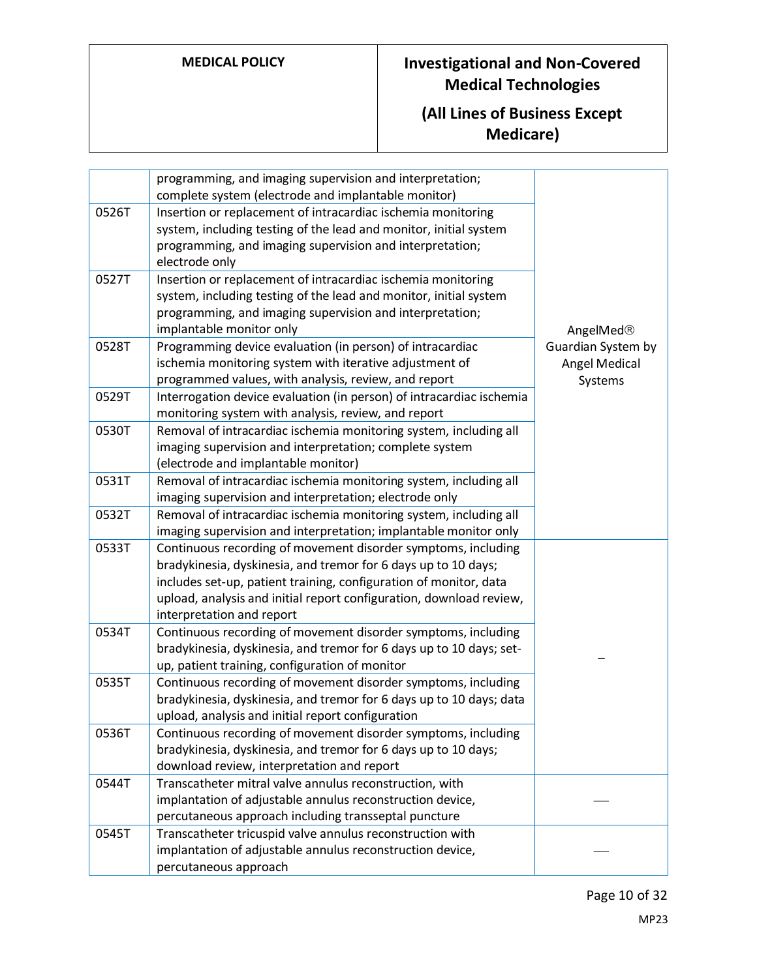|       | programming, and imaging supervision and interpretation;<br>complete system (electrode and implantable monitor)                                                                                                                                                                                          |                                                |
|-------|----------------------------------------------------------------------------------------------------------------------------------------------------------------------------------------------------------------------------------------------------------------------------------------------------------|------------------------------------------------|
| 0526T | Insertion or replacement of intracardiac ischemia monitoring<br>system, including testing of the lead and monitor, initial system<br>programming, and imaging supervision and interpretation;<br>electrode only                                                                                          |                                                |
| 0527T | Insertion or replacement of intracardiac ischemia monitoring<br>system, including testing of the lead and monitor, initial system<br>programming, and imaging supervision and interpretation;<br>implantable monitor only                                                                                | AngelMed®                                      |
| 0528T | Programming device evaluation (in person) of intracardiac<br>ischemia monitoring system with iterative adjustment of<br>programmed values, with analysis, review, and report                                                                                                                             | Guardian System by<br>Angel Medical<br>Systems |
| 0529T | Interrogation device evaluation (in person) of intracardiac ischemia<br>monitoring system with analysis, review, and report                                                                                                                                                                              |                                                |
| 0530T | Removal of intracardiac ischemia monitoring system, including all<br>imaging supervision and interpretation; complete system<br>(electrode and implantable monitor)                                                                                                                                      |                                                |
| 0531T | Removal of intracardiac ischemia monitoring system, including all<br>imaging supervision and interpretation; electrode only                                                                                                                                                                              |                                                |
| 0532T | Removal of intracardiac ischemia monitoring system, including all<br>imaging supervision and interpretation; implantable monitor only                                                                                                                                                                    |                                                |
| 0533T | Continuous recording of movement disorder symptoms, including<br>bradykinesia, dyskinesia, and tremor for 6 days up to 10 days;<br>includes set-up, patient training, configuration of monitor, data<br>upload, analysis and initial report configuration, download review,<br>interpretation and report |                                                |
| 0534T | Continuous recording of movement disorder symptoms, including<br>bradykinesia, dyskinesia, and tremor for 6 days up to 10 days; set-<br>up, patient training, configuration of monitor                                                                                                                   |                                                |
| 0535T | Continuous recording of movement disorder symptoms, including<br>bradykinesia, dyskinesia, and tremor for 6 days up to 10 days; data<br>upload, analysis and initial report configuration                                                                                                                |                                                |
| 0536T | Continuous recording of movement disorder symptoms, including<br>bradykinesia, dyskinesia, and tremor for 6 days up to 10 days;<br>download review, interpretation and report                                                                                                                            |                                                |
| 0544T | Transcatheter mitral valve annulus reconstruction, with<br>implantation of adjustable annulus reconstruction device,<br>percutaneous approach including transseptal puncture                                                                                                                             |                                                |
| 0545T | Transcatheter tricuspid valve annulus reconstruction with<br>implantation of adjustable annulus reconstruction device,<br>percutaneous approach                                                                                                                                                          |                                                |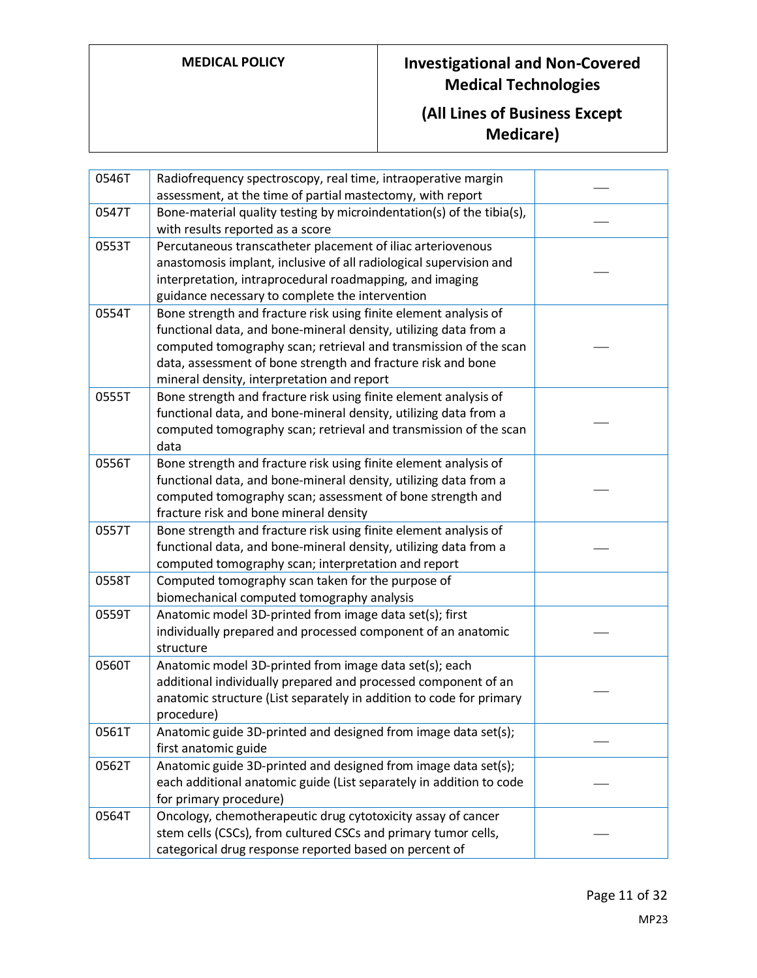| 0546T | Radiofrequency spectroscopy, real time, intraoperative margin<br>assessment, at the time of partial mastectomy, with report                                                                                                                                                                                            |  |
|-------|------------------------------------------------------------------------------------------------------------------------------------------------------------------------------------------------------------------------------------------------------------------------------------------------------------------------|--|
| 0547T | Bone-material quality testing by microindentation(s) of the tibia(s),<br>with results reported as a score                                                                                                                                                                                                              |  |
| 0553T | Percutaneous transcatheter placement of iliac arteriovenous<br>anastomosis implant, inclusive of all radiological supervision and<br>interpretation, intraprocedural roadmapping, and imaging<br>guidance necessary to complete the intervention                                                                       |  |
| 0554T | Bone strength and fracture risk using finite element analysis of<br>functional data, and bone-mineral density, utilizing data from a<br>computed tomography scan; retrieval and transmission of the scan<br>data, assessment of bone strength and fracture risk and bone<br>mineral density, interpretation and report |  |
| 0555T | Bone strength and fracture risk using finite element analysis of<br>functional data, and bone-mineral density, utilizing data from a<br>computed tomography scan; retrieval and transmission of the scan<br>data                                                                                                       |  |
| 0556T | Bone strength and fracture risk using finite element analysis of<br>functional data, and bone-mineral density, utilizing data from a<br>computed tomography scan; assessment of bone strength and<br>fracture risk and bone mineral density                                                                            |  |
| 0557T | Bone strength and fracture risk using finite element analysis of<br>functional data, and bone-mineral density, utilizing data from a<br>computed tomography scan; interpretation and report                                                                                                                            |  |
| 0558T | Computed tomography scan taken for the purpose of<br>biomechanical computed tomography analysis                                                                                                                                                                                                                        |  |
| 0559T | Anatomic model 3D-printed from image data set(s); first<br>individually prepared and processed component of an anatomic<br>structure                                                                                                                                                                                   |  |
| 0560T | Anatomic model 3D-printed from image data set(s); each<br>additional individually prepared and processed component of an<br>anatomic structure (List separately in addition to code for primary<br>procedure)                                                                                                          |  |
| 0561T | Anatomic guide 3D-printed and designed from image data set(s);<br>first anatomic guide                                                                                                                                                                                                                                 |  |
| 0562T | Anatomic guide 3D-printed and designed from image data set(s);<br>each additional anatomic guide (List separately in addition to code<br>for primary procedure)                                                                                                                                                        |  |
| 0564T | Oncology, chemotherapeutic drug cytotoxicity assay of cancer<br>stem cells (CSCs), from cultured CSCs and primary tumor cells,<br>categorical drug response reported based on percent of                                                                                                                               |  |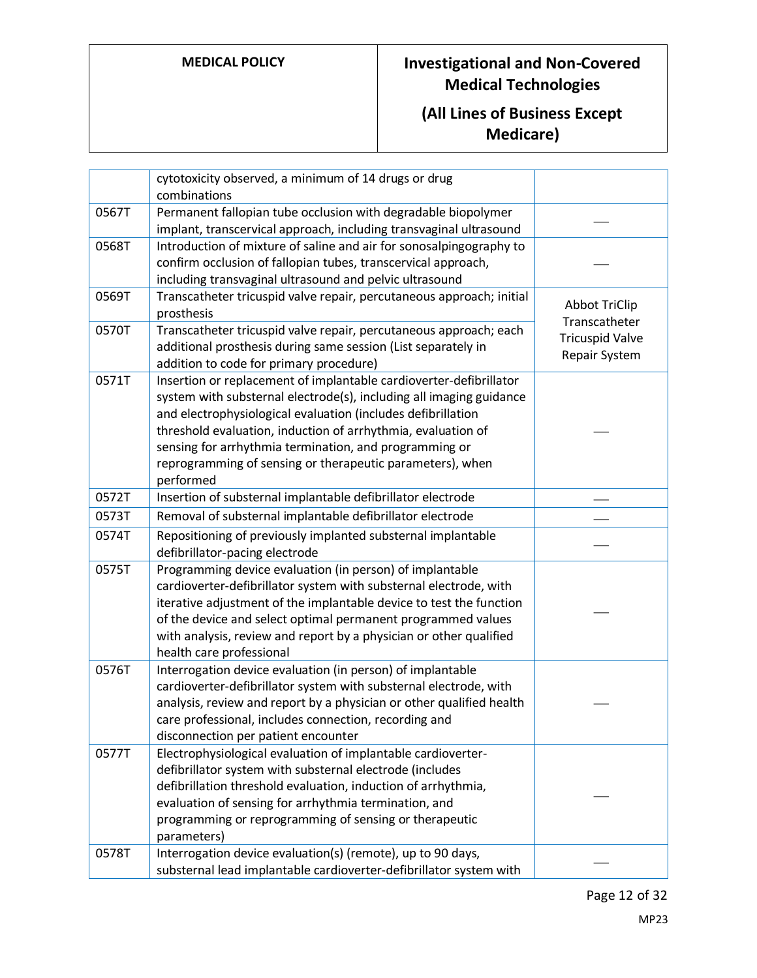|       | cytotoxicity observed, a minimum of 14 drugs or drug<br>combinations                                                                                                                                                                                                                                                                                                                                          |                                         |
|-------|---------------------------------------------------------------------------------------------------------------------------------------------------------------------------------------------------------------------------------------------------------------------------------------------------------------------------------------------------------------------------------------------------------------|-----------------------------------------|
| 0567T | Permanent fallopian tube occlusion with degradable biopolymer<br>implant, transcervical approach, including transvaginal ultrasound                                                                                                                                                                                                                                                                           |                                         |
| 0568T | Introduction of mixture of saline and air for sonosalpingography to<br>confirm occlusion of fallopian tubes, transcervical approach,<br>including transvaginal ultrasound and pelvic ultrasound                                                                                                                                                                                                               |                                         |
| 0569T | Transcatheter tricuspid valve repair, percutaneous approach; initial<br>prosthesis                                                                                                                                                                                                                                                                                                                            | <b>Abbot TriClip</b><br>Transcatheter   |
| 0570T | Transcatheter tricuspid valve repair, percutaneous approach; each<br>additional prosthesis during same session (List separately in<br>addition to code for primary procedure)                                                                                                                                                                                                                                 | <b>Tricuspid Valve</b><br>Repair System |
| 0571T | Insertion or replacement of implantable cardioverter-defibrillator<br>system with substernal electrode(s), including all imaging guidance<br>and electrophysiological evaluation (includes defibrillation<br>threshold evaluation, induction of arrhythmia, evaluation of<br>sensing for arrhythmia termination, and programming or<br>reprogramming of sensing or therapeutic parameters), when<br>performed |                                         |
| 0572T | Insertion of substernal implantable defibrillator electrode                                                                                                                                                                                                                                                                                                                                                   |                                         |
| 0573T | Removal of substernal implantable defibrillator electrode                                                                                                                                                                                                                                                                                                                                                     |                                         |
| 0574T | Repositioning of previously implanted substernal implantable<br>defibrillator-pacing electrode                                                                                                                                                                                                                                                                                                                |                                         |
| 0575T | Programming device evaluation (in person) of implantable<br>cardioverter-defibrillator system with substernal electrode, with<br>iterative adjustment of the implantable device to test the function<br>of the device and select optimal permanent programmed values<br>with analysis, review and report by a physician or other qualified<br>health care professional                                        |                                         |
| 0576T | Interrogation device evaluation (in person) of implantable<br>cardioverter-defibrillator system with substernal electrode, with<br>analysis, review and report by a physician or other qualified health<br>care professional, includes connection, recording and<br>disconnection per patient encounter                                                                                                       |                                         |
| 0577T | Electrophysiological evaluation of implantable cardioverter-<br>defibrillator system with substernal electrode (includes<br>defibrillation threshold evaluation, induction of arrhythmia,<br>evaluation of sensing for arrhythmia termination, and<br>programming or reprogramming of sensing or therapeutic<br>parameters)                                                                                   |                                         |
| 0578T | Interrogation device evaluation(s) (remote), up to 90 days,<br>substernal lead implantable cardioverter-defibrillator system with                                                                                                                                                                                                                                                                             |                                         |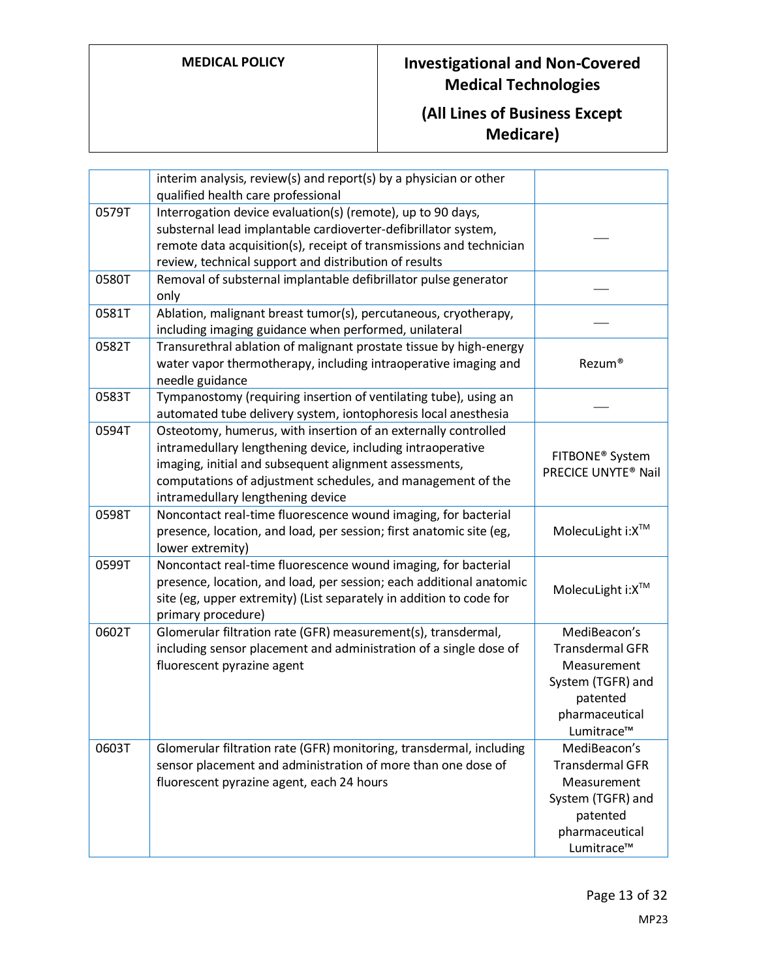|       | interim analysis, review(s) and report(s) by a physician or other<br>qualified health care professional                                                                                                                                                                                     |                                                                                                                        |
|-------|---------------------------------------------------------------------------------------------------------------------------------------------------------------------------------------------------------------------------------------------------------------------------------------------|------------------------------------------------------------------------------------------------------------------------|
| 0579T | Interrogation device evaluation(s) (remote), up to 90 days,<br>substernal lead implantable cardioverter-defibrillator system,<br>remote data acquisition(s), receipt of transmissions and technician<br>review, technical support and distribution of results                               |                                                                                                                        |
| 0580T | Removal of substernal implantable defibrillator pulse generator<br>only                                                                                                                                                                                                                     |                                                                                                                        |
| 0581T | Ablation, malignant breast tumor(s), percutaneous, cryotherapy,<br>including imaging guidance when performed, unilateral                                                                                                                                                                    |                                                                                                                        |
| 0582T | Transurethral ablation of malignant prostate tissue by high-energy<br>water vapor thermotherapy, including intraoperative imaging and<br>needle guidance                                                                                                                                    | Rezum®                                                                                                                 |
| 0583T | Tympanostomy (requiring insertion of ventilating tube), using an<br>automated tube delivery system, iontophoresis local anesthesia                                                                                                                                                          |                                                                                                                        |
| 0594T | Osteotomy, humerus, with insertion of an externally controlled<br>intramedullary lengthening device, including intraoperative<br>imaging, initial and subsequent alignment assessments,<br>computations of adjustment schedules, and management of the<br>intramedullary lengthening device | FITBONE <sup>®</sup> System<br>PRECICE UNYTE <sup>®</sup> Nail                                                         |
| 0598T | Noncontact real-time fluorescence wound imaging, for bacterial<br>presence, location, and load, per session; first anatomic site (eg,<br>lower extremity)                                                                                                                                   | MolecuLight i: X <sup>™</sup>                                                                                          |
| 0599T | Noncontact real-time fluorescence wound imaging, for bacterial<br>presence, location, and load, per session; each additional anatomic<br>site (eg, upper extremity) (List separately in addition to code for<br>primary procedure)                                                          | MolecuLight i: X™                                                                                                      |
| 0602T | Glomerular filtration rate (GFR) measurement(s), transdermal,<br>including sensor placement and administration of a single dose of<br>fluorescent pyrazine agent                                                                                                                            | MediBeacon's<br><b>Transdermal GFR</b><br>Measurement<br>System (TGFR) and<br>patented<br>pharmaceutical<br>Lumitrace™ |
| 0603T | Glomerular filtration rate (GFR) monitoring, transdermal, including<br>sensor placement and administration of more than one dose of<br>fluorescent pyrazine agent, each 24 hours                                                                                                            | MediBeacon's<br><b>Transdermal GFR</b><br>Measurement<br>System (TGFR) and<br>patented<br>pharmaceutical<br>Lumitrace™ |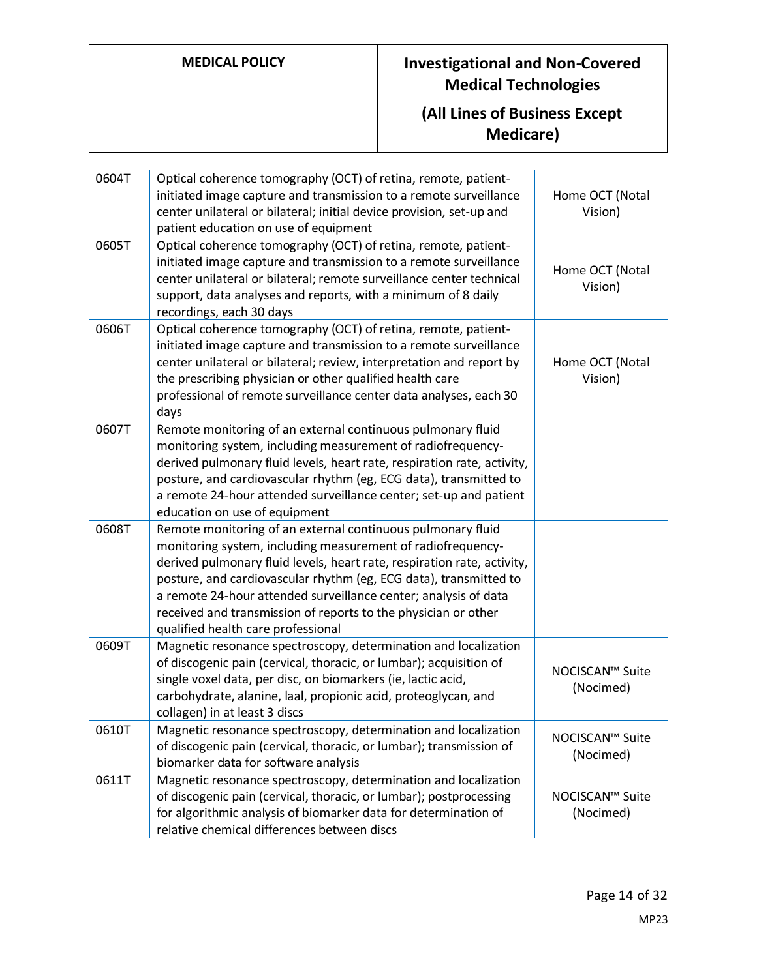| 0604T | Optical coherence tomography (OCT) of retina, remote, patient-<br>initiated image capture and transmission to a remote surveillance<br>center unilateral or bilateral; initial device provision, set-up and<br>patient education on use of equipment                                                                                                                                                                                                  | Home OCT (Notal<br>Vision)   |
|-------|-------------------------------------------------------------------------------------------------------------------------------------------------------------------------------------------------------------------------------------------------------------------------------------------------------------------------------------------------------------------------------------------------------------------------------------------------------|------------------------------|
| 0605T | Optical coherence tomography (OCT) of retina, remote, patient-<br>initiated image capture and transmission to a remote surveillance<br>center unilateral or bilateral; remote surveillance center technical<br>support, data analyses and reports, with a minimum of 8 daily<br>recordings, each 30 days                                                                                                                                              | Home OCT (Notal<br>Vision)   |
| 0606T | Optical coherence tomography (OCT) of retina, remote, patient-<br>initiated image capture and transmission to a remote surveillance<br>center unilateral or bilateral; review, interpretation and report by<br>the prescribing physician or other qualified health care<br>professional of remote surveillance center data analyses, each 30<br>days                                                                                                  | Home OCT (Notal<br>Vision)   |
| 0607T | Remote monitoring of an external continuous pulmonary fluid<br>monitoring system, including measurement of radiofrequency-<br>derived pulmonary fluid levels, heart rate, respiration rate, activity,<br>posture, and cardiovascular rhythm (eg, ECG data), transmitted to<br>a remote 24-hour attended surveillance center; set-up and patient<br>education on use of equipment                                                                      |                              |
| 0608T | Remote monitoring of an external continuous pulmonary fluid<br>monitoring system, including measurement of radiofrequency-<br>derived pulmonary fluid levels, heart rate, respiration rate, activity,<br>posture, and cardiovascular rhythm (eg, ECG data), transmitted to<br>a remote 24-hour attended surveillance center; analysis of data<br>received and transmission of reports to the physician or other<br>qualified health care professional |                              |
| 0609T | Magnetic resonance spectroscopy, determination and localization<br>of discogenic pain (cervical, thoracic, or lumbar); acquisition of<br>single voxel data, per disc, on biomarkers (ie, lactic acid,<br>carbohydrate, alanine, laal, propionic acid, proteoglycan, and<br>collagen) in at least 3 discs                                                                                                                                              | NOCISCAN™ Suite<br>(Nocimed) |
| 0610T | Magnetic resonance spectroscopy, determination and localization<br>of discogenic pain (cervical, thoracic, or lumbar); transmission of<br>biomarker data for software analysis                                                                                                                                                                                                                                                                        | NOCISCAN™ Suite<br>(Nocimed) |
| 0611T | Magnetic resonance spectroscopy, determination and localization<br>of discogenic pain (cervical, thoracic, or lumbar); postprocessing<br>for algorithmic analysis of biomarker data for determination of<br>relative chemical differences between discs                                                                                                                                                                                               | NOCISCAN™ Suite<br>(Nocimed) |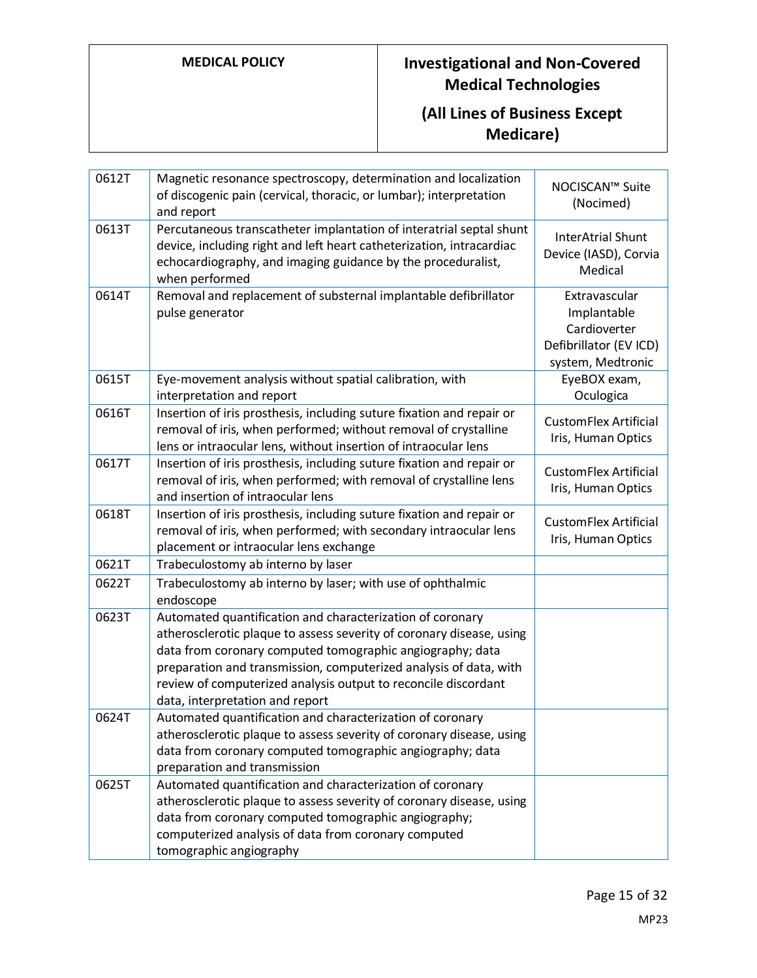| 0612T | Magnetic resonance spectroscopy, determination and localization<br>of discogenic pain (cervical, thoracic, or lumbar); interpretation<br>and report                                                                                                                                                                                                                      | NOCISCAN™ Suite<br>(Nocimed)                                                                |
|-------|--------------------------------------------------------------------------------------------------------------------------------------------------------------------------------------------------------------------------------------------------------------------------------------------------------------------------------------------------------------------------|---------------------------------------------------------------------------------------------|
| 0613T | Percutaneous transcatheter implantation of interatrial septal shunt<br>device, including right and left heart catheterization, intracardiac<br>echocardiography, and imaging guidance by the proceduralist,<br>when performed                                                                                                                                            | <b>InterAtrial Shunt</b><br>Device (IASD), Corvia<br>Medical                                |
| 0614T | Removal and replacement of substernal implantable defibrillator<br>pulse generator                                                                                                                                                                                                                                                                                       | Extravascular<br>Implantable<br>Cardioverter<br>Defibrillator (EV ICD)<br>system, Medtronic |
| 0615T | Eye-movement analysis without spatial calibration, with<br>interpretation and report                                                                                                                                                                                                                                                                                     | EyeBOX exam,<br>Oculogica                                                                   |
| 0616T | Insertion of iris prosthesis, including suture fixation and repair or<br>removal of iris, when performed; without removal of crystalline<br>lens or intraocular lens, without insertion of intraocular lens                                                                                                                                                              | <b>CustomFlex Artificial</b><br>Iris, Human Optics                                          |
| 0617T | Insertion of iris prosthesis, including suture fixation and repair or<br>removal of iris, when performed; with removal of crystalline lens<br>and insertion of intraocular lens                                                                                                                                                                                          | <b>CustomFlex Artificial</b><br>Iris, Human Optics                                          |
| 0618T | Insertion of iris prosthesis, including suture fixation and repair or<br>removal of iris, when performed; with secondary intraocular lens<br>placement or intraocular lens exchange                                                                                                                                                                                      | <b>CustomFlex Artificial</b><br>Iris, Human Optics                                          |
| 0621T | Trabeculostomy ab interno by laser                                                                                                                                                                                                                                                                                                                                       |                                                                                             |
| 0622T | Trabeculostomy ab interno by laser; with use of ophthalmic<br>endoscope                                                                                                                                                                                                                                                                                                  |                                                                                             |
| 0623T | Automated quantification and characterization of coronary<br>atherosclerotic plaque to assess severity of coronary disease, using<br>data from coronary computed tomographic angiography; data<br>preparation and transmission, computerized analysis of data, with<br>review of computerized analysis output to reconcile discordant<br>data, interpretation and report |                                                                                             |
| 0624T | Automated quantification and characterization of coronary<br>atherosclerotic plaque to assess severity of coronary disease, using<br>data from coronary computed tomographic angiography; data<br>preparation and transmission                                                                                                                                           |                                                                                             |
| 0625T | Automated quantification and characterization of coronary<br>atherosclerotic plaque to assess severity of coronary disease, using<br>data from coronary computed tomographic angiography;<br>computerized analysis of data from coronary computed<br>tomographic angiography                                                                                             |                                                                                             |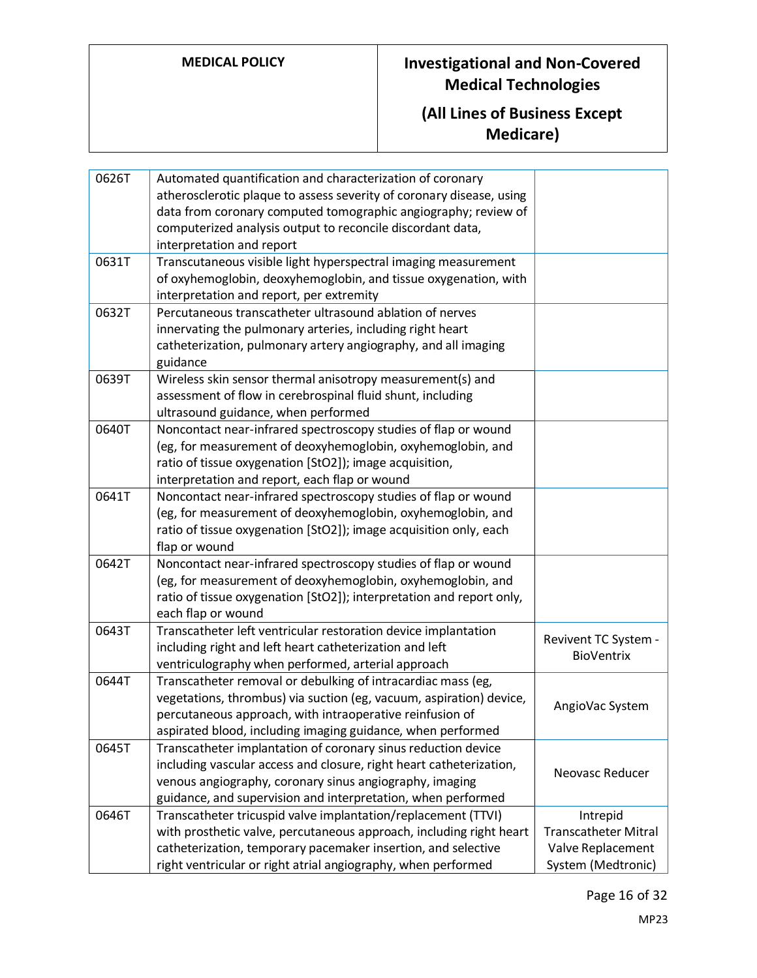### **(All Lines of Business Except Medicare)**

| 0626T | Automated quantification and characterization of coronary                                                                           |                             |
|-------|-------------------------------------------------------------------------------------------------------------------------------------|-----------------------------|
|       | atherosclerotic plaque to assess severity of coronary disease, using                                                                |                             |
|       | data from coronary computed tomographic angiography; review of                                                                      |                             |
|       | computerized analysis output to reconcile discordant data,                                                                          |                             |
|       | interpretation and report                                                                                                           |                             |
| 0631T | Transcutaneous visible light hyperspectral imaging measurement                                                                      |                             |
|       | of oxyhemoglobin, deoxyhemoglobin, and tissue oxygenation, with                                                                     |                             |
|       | interpretation and report, per extremity                                                                                            |                             |
| 0632T | Percutaneous transcatheter ultrasound ablation of nerves                                                                            |                             |
|       | innervating the pulmonary arteries, including right heart                                                                           |                             |
|       | catheterization, pulmonary artery angiography, and all imaging                                                                      |                             |
|       | guidance                                                                                                                            |                             |
| 0639T | Wireless skin sensor thermal anisotropy measurement(s) and                                                                          |                             |
|       | assessment of flow in cerebrospinal fluid shunt, including                                                                          |                             |
|       | ultrasound guidance, when performed                                                                                                 |                             |
| 0640T | Noncontact near-infrared spectroscopy studies of flap or wound                                                                      |                             |
|       | (eg, for measurement of deoxyhemoglobin, oxyhemoglobin, and                                                                         |                             |
|       | ratio of tissue oxygenation [StO2]); image acquisition,                                                                             |                             |
|       | interpretation and report, each flap or wound                                                                                       |                             |
| 0641T | Noncontact near-infrared spectroscopy studies of flap or wound                                                                      |                             |
|       | (eg, for measurement of deoxyhemoglobin, oxyhemoglobin, and                                                                         |                             |
|       | ratio of tissue oxygenation [StO2]); image acquisition only, each                                                                   |                             |
| 0642T | flap or wound                                                                                                                       |                             |
|       | Noncontact near-infrared spectroscopy studies of flap or wound                                                                      |                             |
|       | (eg, for measurement of deoxyhemoglobin, oxyhemoglobin, and<br>ratio of tissue oxygenation [StO2]); interpretation and report only, |                             |
|       | each flap or wound                                                                                                                  |                             |
| 0643T | Transcatheter left ventricular restoration device implantation                                                                      |                             |
|       | including right and left heart catheterization and left                                                                             | Revivent TC System -        |
|       | ventriculography when performed, arterial approach                                                                                  | <b>BioVentrix</b>           |
| 0644T | Transcatheter removal or debulking of intracardiac mass (eg,                                                                        |                             |
|       | vegetations, thrombus) via suction (eg, vacuum, aspiration) device,                                                                 | AngioVac System             |
|       | percutaneous approach, with intraoperative reinfusion of                                                                            |                             |
|       | aspirated blood, including imaging guidance, when performed                                                                         |                             |
| 0645T | Transcatheter implantation of coronary sinus reduction device                                                                       |                             |
|       | including vascular access and closure, right heart catheterization,                                                                 | Neovasc Reducer             |
|       | venous angiography, coronary sinus angiography, imaging                                                                             |                             |
|       | guidance, and supervision and interpretation, when performed                                                                        |                             |
| 0646T | Transcatheter tricuspid valve implantation/replacement (TTVI)                                                                       | Intrepid                    |
|       | with prosthetic valve, percutaneous approach, including right heart                                                                 | <b>Transcatheter Mitral</b> |
|       | catheterization, temporary pacemaker insertion, and selective                                                                       | Valve Replacement           |
|       | right ventricular or right atrial angiography, when performed                                                                       | System (Medtronic)          |

Page 16 of 32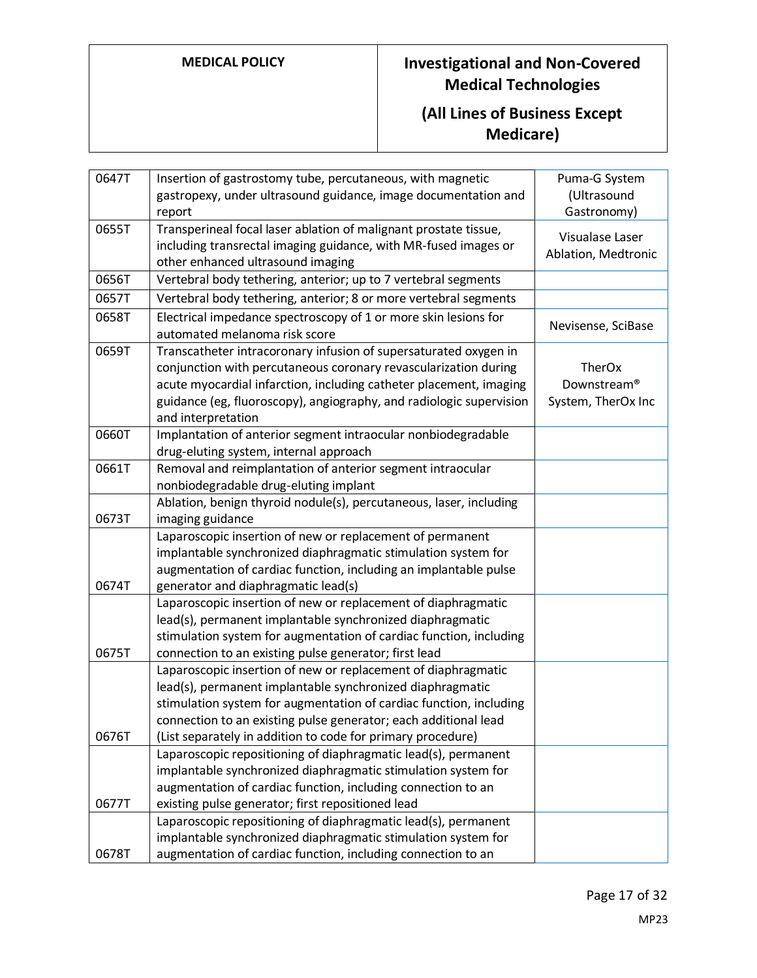| 0647T | Insertion of gastrostomy tube, percutaneous, with magnetic          | Puma-G System       |
|-------|---------------------------------------------------------------------|---------------------|
|       | gastropexy, under ultrasound guidance, image documentation and      | (Ultrasound         |
|       | report                                                              | Gastronomy)         |
| 0655T | Transperineal focal laser ablation of malignant prostate tissue,    | Visualase Laser     |
|       | including transrectal imaging guidance, with MR-fused images or     | Ablation, Medtronic |
|       | other enhanced ultrasound imaging                                   |                     |
| 0656T | Vertebral body tethering, anterior; up to 7 vertebral segments      |                     |
| 0657T | Vertebral body tethering, anterior; 8 or more vertebral segments    |                     |
| 0658T | Electrical impedance spectroscopy of 1 or more skin lesions for     | Nevisense, SciBase  |
|       | automated melanoma risk score                                       |                     |
| 0659T | Transcatheter intracoronary infusion of supersaturated oxygen in    |                     |
|       | conjunction with percutaneous coronary revascularization during     | TherOx              |
|       | acute myocardial infarction, including catheter placement, imaging  | Downstream®         |
|       | guidance (eg, fluoroscopy), angiography, and radiologic supervision | System, TherOx Inc  |
|       | and interpretation                                                  |                     |
| 0660T | Implantation of anterior segment intraocular nonbiodegradable       |                     |
|       | drug-eluting system, internal approach                              |                     |
| 0661T | Removal and reimplantation of anterior segment intraocular          |                     |
|       | nonbiodegradable drug-eluting implant                               |                     |
|       | Ablation, benign thyroid nodule(s), percutaneous, laser, including  |                     |
| 0673T | imaging guidance                                                    |                     |
|       | Laparoscopic insertion of new or replacement of permanent           |                     |
|       | implantable synchronized diaphragmatic stimulation system for       |                     |
|       | augmentation of cardiac function, including an implantable pulse    |                     |
| 0674T | generator and diaphragmatic lead(s)                                 |                     |
|       | Laparoscopic insertion of new or replacement of diaphragmatic       |                     |
|       | lead(s), permanent implantable synchronized diaphragmatic           |                     |
|       | stimulation system for augmentation of cardiac function, including  |                     |
| 0675T | connection to an existing pulse generator; first lead               |                     |
|       | Laparoscopic insertion of new or replacement of diaphragmatic       |                     |
|       | lead(s), permanent implantable synchronized diaphragmatic           |                     |
|       | stimulation system for augmentation of cardiac function, including  |                     |
|       | connection to an existing pulse generator; each additional lead     |                     |
| 0676T | (List separately in addition to code for primary procedure)         |                     |
|       | Laparoscopic repositioning of diaphragmatic lead(s), permanent      |                     |
|       | implantable synchronized diaphragmatic stimulation system for       |                     |
|       | augmentation of cardiac function, including connection to an        |                     |
| 0677T | existing pulse generator; first repositioned lead                   |                     |
|       | Laparoscopic repositioning of diaphragmatic lead(s), permanent      |                     |
|       | implantable synchronized diaphragmatic stimulation system for       |                     |
| 0678T | augmentation of cardiac function, including connection to an        |                     |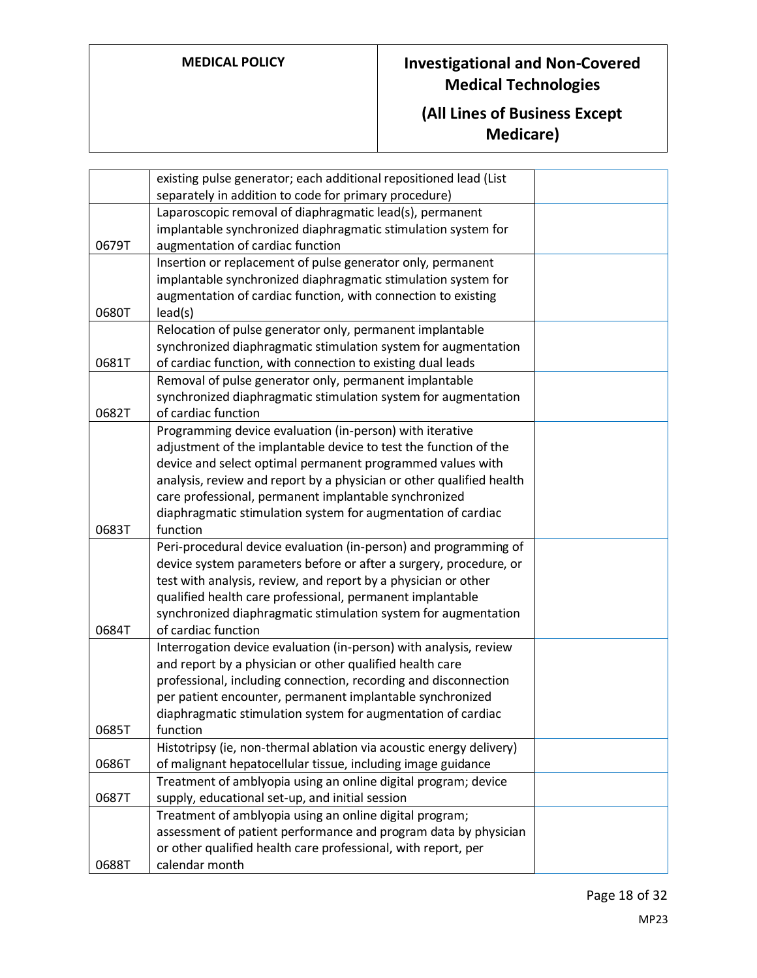|       | existing pulse generator; each additional repositioned lead (List<br>separately in addition to code for primary procedure) |  |
|-------|----------------------------------------------------------------------------------------------------------------------------|--|
|       | Laparoscopic removal of diaphragmatic lead(s), permanent                                                                   |  |
|       | implantable synchronized diaphragmatic stimulation system for                                                              |  |
| 0679T | augmentation of cardiac function                                                                                           |  |
|       | Insertion or replacement of pulse generator only, permanent                                                                |  |
|       | implantable synchronized diaphragmatic stimulation system for                                                              |  |
|       | augmentation of cardiac function, with connection to existing                                                              |  |
| 0680T | lead(s)                                                                                                                    |  |
|       | Relocation of pulse generator only, permanent implantable                                                                  |  |
|       | synchronized diaphragmatic stimulation system for augmentation                                                             |  |
| 0681T | of cardiac function, with connection to existing dual leads                                                                |  |
|       | Removal of pulse generator only, permanent implantable                                                                     |  |
|       | synchronized diaphragmatic stimulation system for augmentation                                                             |  |
| 0682T | of cardiac function                                                                                                        |  |
|       | Programming device evaluation (in-person) with iterative                                                                   |  |
|       | adjustment of the implantable device to test the function of the                                                           |  |
|       | device and select optimal permanent programmed values with                                                                 |  |
|       | analysis, review and report by a physician or other qualified health                                                       |  |
|       | care professional, permanent implantable synchronized                                                                      |  |
|       | diaphragmatic stimulation system for augmentation of cardiac                                                               |  |
| 0683T | function                                                                                                                   |  |
|       | Peri-procedural device evaluation (in-person) and programming of                                                           |  |
|       | device system parameters before or after a surgery, procedure, or                                                          |  |
|       | test with analysis, review, and report by a physician or other                                                             |  |
|       | qualified health care professional, permanent implantable                                                                  |  |
|       | synchronized diaphragmatic stimulation system for augmentation                                                             |  |
| 0684T | of cardiac function                                                                                                        |  |
|       | Interrogation device evaluation (in-person) with analysis, review                                                          |  |
|       | and report by a physician or other qualified health care                                                                   |  |
|       | professional, including connection, recording and disconnection                                                            |  |
|       | per patient encounter, permanent implantable synchronized                                                                  |  |
|       | diaphragmatic stimulation system for augmentation of cardiac                                                               |  |
| 0685T | function                                                                                                                   |  |
|       | Histotripsy (ie, non-thermal ablation via acoustic energy delivery)                                                        |  |
| 0686T | of malignant hepatocellular tissue, including image guidance                                                               |  |
|       | Treatment of amblyopia using an online digital program; device                                                             |  |
| 0687T | supply, educational set-up, and initial session                                                                            |  |
|       | Treatment of amblyopia using an online digital program;                                                                    |  |
|       | assessment of patient performance and program data by physician                                                            |  |
|       | or other qualified health care professional, with report, per                                                              |  |
| 0688T | calendar month                                                                                                             |  |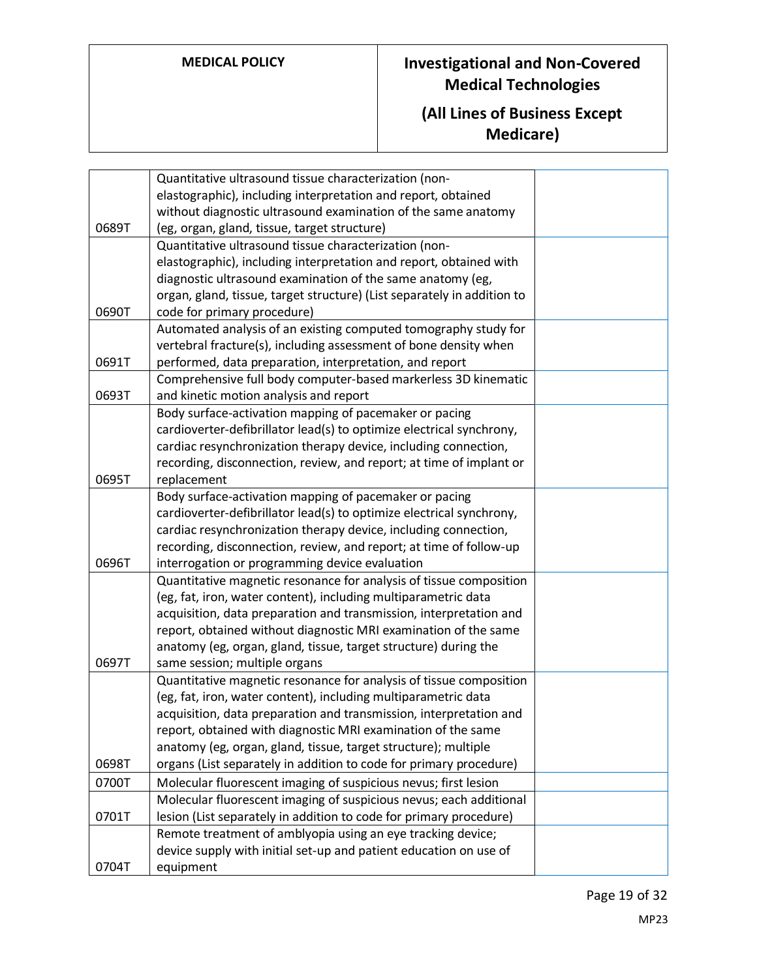|       | Quantitative ultrasound tissue characterization (non-                                            |  |
|-------|--------------------------------------------------------------------------------------------------|--|
|       | elastographic), including interpretation and report, obtained                                    |  |
|       | without diagnostic ultrasound examination of the same anatomy                                    |  |
| 0689T | (eg, organ, gland, tissue, target structure)                                                     |  |
|       | Quantitative ultrasound tissue characterization (non-                                            |  |
|       | elastographic), including interpretation and report, obtained with                               |  |
|       | diagnostic ultrasound examination of the same anatomy (eg,                                       |  |
|       | organ, gland, tissue, target structure) (List separately in addition to                          |  |
| 0690T | code for primary procedure)                                                                      |  |
|       | Automated analysis of an existing computed tomography study for                                  |  |
|       | vertebral fracture(s), including assessment of bone density when                                 |  |
| 0691T | performed, data preparation, interpretation, and report                                          |  |
|       | Comprehensive full body computer-based markerless 3D kinematic                                   |  |
| 0693T | and kinetic motion analysis and report                                                           |  |
|       | Body surface-activation mapping of pacemaker or pacing                                           |  |
|       | cardioverter-defibrillator lead(s) to optimize electrical synchrony,                             |  |
|       | cardiac resynchronization therapy device, including connection,                                  |  |
|       | recording, disconnection, review, and report; at time of implant or                              |  |
| 0695T | replacement                                                                                      |  |
|       | Body surface-activation mapping of pacemaker or pacing                                           |  |
|       | cardioverter-defibrillator lead(s) to optimize electrical synchrony,                             |  |
|       | cardiac resynchronization therapy device, including connection,                                  |  |
|       | recording, disconnection, review, and report; at time of follow-up                               |  |
| 0696T | interrogation or programming device evaluation                                                   |  |
|       | Quantitative magnetic resonance for analysis of tissue composition                               |  |
|       | (eg, fat, iron, water content), including multiparametric data                                   |  |
|       | acquisition, data preparation and transmission, interpretation and                               |  |
|       | report, obtained without diagnostic MRI examination of the same                                  |  |
| 0697T | anatomy (eg, organ, gland, tissue, target structure) during the<br>same session; multiple organs |  |
|       | Quantitative magnetic resonance for analysis of tissue composition                               |  |
|       | (eg, fat, iron, water content), including multiparametric data                                   |  |
|       | acquisition, data preparation and transmission, interpretation and                               |  |
|       | report, obtained with diagnostic MRI examination of the same                                     |  |
|       | anatomy (eg, organ, gland, tissue, target structure); multiple                                   |  |
| 0698T | organs (List separately in addition to code for primary procedure)                               |  |
| 0700T | Molecular fluorescent imaging of suspicious nevus; first lesion                                  |  |
|       | Molecular fluorescent imaging of suspicious nevus; each additional                               |  |
| 0701T | lesion (List separately in addition to code for primary procedure)                               |  |
|       | Remote treatment of amblyopia using an eye tracking device;                                      |  |
|       | device supply with initial set-up and patient education on use of                                |  |
| 0704T | equipment                                                                                        |  |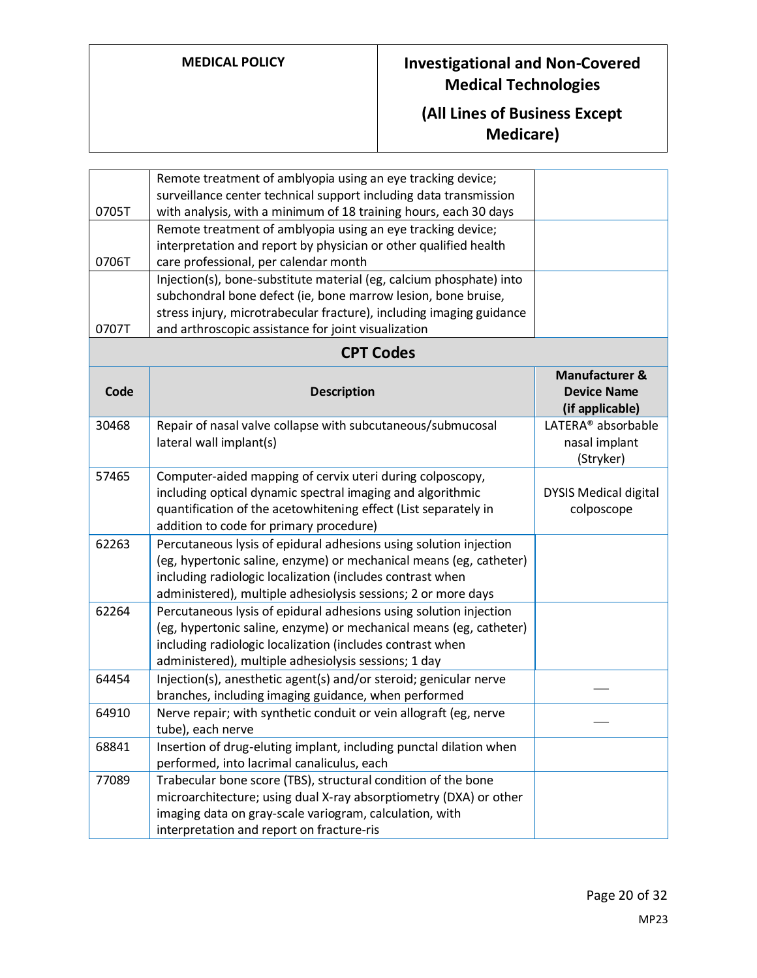|       | Remote treatment of amblyopia using an eye tracking device;          |                                |
|-------|----------------------------------------------------------------------|--------------------------------|
|       | surveillance center technical support including data transmission    |                                |
| 0705T | with analysis, with a minimum of 18 training hours, each 30 days     |                                |
|       | Remote treatment of amblyopia using an eye tracking device;          |                                |
|       | interpretation and report by physician or other qualified health     |                                |
| 0706T | care professional, per calendar month                                |                                |
|       | Injection(s), bone-substitute material (eg, calcium phosphate) into  |                                |
|       | subchondral bone defect (ie, bone marrow lesion, bone bruise,        |                                |
|       | stress injury, microtrabecular fracture), including imaging guidance |                                |
| 0707T | and arthroscopic assistance for joint visualization                  |                                |
|       | <b>CPT Codes</b>                                                     |                                |
|       |                                                                      | <b>Manufacturer &amp;</b>      |
| Code  | <b>Description</b>                                                   | <b>Device Name</b>             |
|       |                                                                      | (if applicable)                |
| 30468 | Repair of nasal valve collapse with subcutaneous/submucosal          | LATERA <sup>®</sup> absorbable |
|       | lateral wall implant(s)                                              | nasal implant                  |
|       |                                                                      | (Stryker)                      |
| 57465 | Computer-aided mapping of cervix uteri during colposcopy,            |                                |
|       | including optical dynamic spectral imaging and algorithmic           | <b>DYSIS Medical digital</b>   |
|       | quantification of the acetowhitening effect (List separately in      | colposcope                     |
|       | addition to code for primary procedure)                              |                                |
| 62263 | Percutaneous lysis of epidural adhesions using solution injection    |                                |
|       | (eg, hypertonic saline, enzyme) or mechanical means (eg, catheter)   |                                |
|       | including radiologic localization (includes contrast when            |                                |
|       | administered), multiple adhesiolysis sessions; 2 or more days        |                                |
| 62264 | Percutaneous lysis of epidural adhesions using solution injection    |                                |
|       | (eg, hypertonic saline, enzyme) or mechanical means (eg, catheter)   |                                |
|       | including radiologic localization (includes contrast when            |                                |
|       | administered), multiple adhesiolysis sessions; 1 day                 |                                |
| 64454 | Injection(s), anesthetic agent(s) and/or steroid; genicular nerve    |                                |
|       | branches, including imaging guidance, when performed                 |                                |
| 64910 | Nerve repair; with synthetic conduit or vein allograft (eg, nerve    |                                |
|       | tube), each nerve                                                    |                                |
| 68841 | Insertion of drug-eluting implant, including punctal dilation when   |                                |
|       | performed, into lacrimal canaliculus, each                           |                                |
| 77089 | Trabecular bone score (TBS), structural condition of the bone        |                                |
|       | microarchitecture; using dual X-ray absorptiometry (DXA) or other    |                                |
|       | imaging data on gray-scale variogram, calculation, with              |                                |
|       | interpretation and report on fracture-ris                            |                                |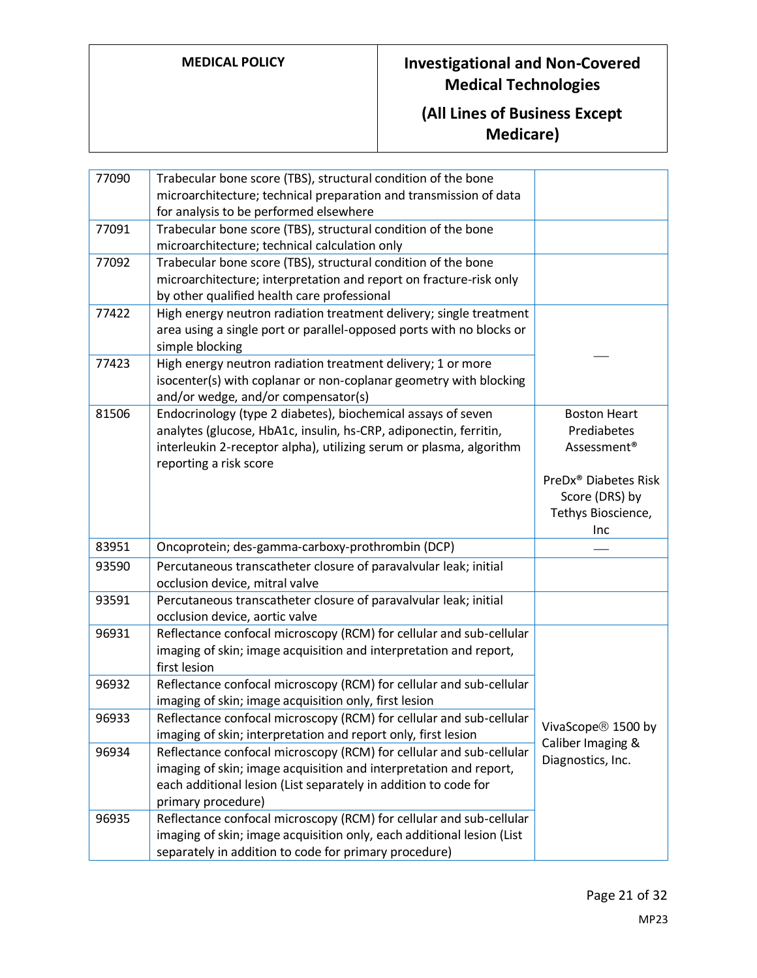| 77090 | Trabecular bone score (TBS), structural condition of the bone<br>microarchitecture; technical preparation and transmission of data<br>for analysis to be performed elsewhere                                                       |                                                                                 |
|-------|------------------------------------------------------------------------------------------------------------------------------------------------------------------------------------------------------------------------------------|---------------------------------------------------------------------------------|
| 77091 | Trabecular bone score (TBS), structural condition of the bone<br>microarchitecture; technical calculation only                                                                                                                     |                                                                                 |
| 77092 | Trabecular bone score (TBS), structural condition of the bone<br>microarchitecture; interpretation and report on fracture-risk only<br>by other qualified health care professional                                                 |                                                                                 |
| 77422 | High energy neutron radiation treatment delivery; single treatment<br>area using a single port or parallel-opposed ports with no blocks or<br>simple blocking                                                                      |                                                                                 |
| 77423 | High energy neutron radiation treatment delivery; 1 or more<br>isocenter(s) with coplanar or non-coplanar geometry with blocking<br>and/or wedge, and/or compensator(s)                                                            |                                                                                 |
| 81506 | Endocrinology (type 2 diabetes), biochemical assays of seven<br>analytes (glucose, HbA1c, insulin, hs-CRP, adiponectin, ferritin,<br>interleukin 2-receptor alpha), utilizing serum or plasma, algorithm<br>reporting a risk score | <b>Boston Heart</b><br>Prediabetes<br>Assessment <sup>®</sup>                   |
|       |                                                                                                                                                                                                                                    | PreDx <sup>®</sup> Diabetes Risk<br>Score (DRS) by<br>Tethys Bioscience,<br>Inc |
| 83951 | Oncoprotein; des-gamma-carboxy-prothrombin (DCP)                                                                                                                                                                                   |                                                                                 |
| 93590 | Percutaneous transcatheter closure of paravalvular leak; initial<br>occlusion device, mitral valve                                                                                                                                 |                                                                                 |
| 93591 | Percutaneous transcatheter closure of paravalvular leak; initial<br>occlusion device, aortic valve                                                                                                                                 |                                                                                 |
| 96931 | Reflectance confocal microscopy (RCM) for cellular and sub-cellular<br>imaging of skin; image acquisition and interpretation and report,<br>first lesion                                                                           |                                                                                 |
| 96932 | Reflectance confocal microscopy (RCM) for cellular and sub-cellular<br>imaging of skin; image acquisition only, first lesion                                                                                                       |                                                                                 |
| 96933 | Reflectance confocal microscopy (RCM) for cellular and sub-cellular<br>imaging of skin; interpretation and report only, first lesion                                                                                               | VivaScope <sup>®</sup> 1500 by                                                  |
| 96934 | Reflectance confocal microscopy (RCM) for cellular and sub-cellular<br>imaging of skin; image acquisition and interpretation and report,<br>each additional lesion (List separately in addition to code for<br>primary procedure)  | Caliber Imaging &<br>Diagnostics, Inc.                                          |
| 96935 | Reflectance confocal microscopy (RCM) for cellular and sub-cellular<br>imaging of skin; image acquisition only, each additional lesion (List<br>separately in addition to code for primary procedure)                              |                                                                                 |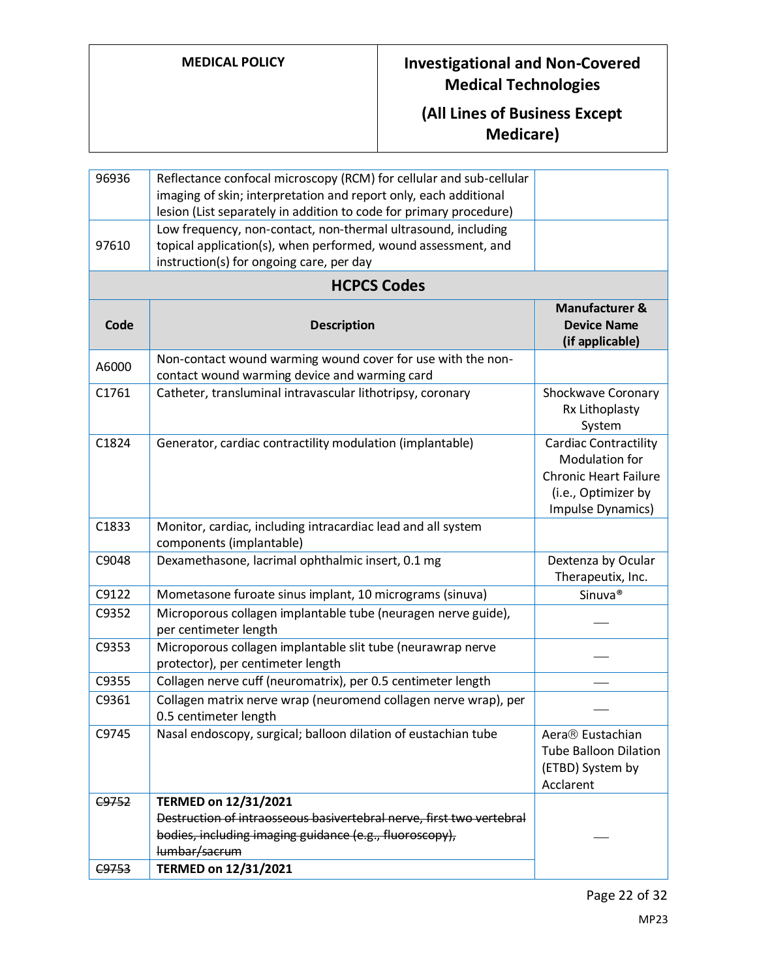| 96936 | Reflectance confocal microscopy (RCM) for cellular and sub-cellular<br>imaging of skin; interpretation and report only, each additional<br>lesion (List separately in addition to code for primary procedure) |                                                                                                                            |
|-------|---------------------------------------------------------------------------------------------------------------------------------------------------------------------------------------------------------------|----------------------------------------------------------------------------------------------------------------------------|
| 97610 | Low frequency, non-contact, non-thermal ultrasound, including<br>topical application(s), when performed, wound assessment, and<br>instruction(s) for ongoing care, per day                                    |                                                                                                                            |
|       | <b>HCPCS Codes</b>                                                                                                                                                                                            |                                                                                                                            |
| Code  | <b>Description</b>                                                                                                                                                                                            | <b>Manufacturer &amp;</b><br><b>Device Name</b><br>(if applicable)                                                         |
| A6000 | Non-contact wound warming wound cover for use with the non-<br>contact wound warming device and warming card                                                                                                  |                                                                                                                            |
| C1761 | Catheter, transluminal intravascular lithotripsy, coronary                                                                                                                                                    | Shockwave Coronary<br>Rx Lithoplasty<br>System                                                                             |
| C1824 | Generator, cardiac contractility modulation (implantable)                                                                                                                                                     | <b>Cardiac Contractility</b><br>Modulation for<br><b>Chronic Heart Failure</b><br>(i.e., Optimizer by<br>Impulse Dynamics) |
| C1833 | Monitor, cardiac, including intracardiac lead and all system<br>components (implantable)                                                                                                                      |                                                                                                                            |
| C9048 | Dexamethasone, lacrimal ophthalmic insert, 0.1 mg                                                                                                                                                             | Dextenza by Ocular<br>Therapeutix, Inc.                                                                                    |
| C9122 | Mometasone furoate sinus implant, 10 micrograms (sinuva)                                                                                                                                                      | Sinuva <sup>®</sup>                                                                                                        |
| C9352 | Microporous collagen implantable tube (neuragen nerve guide),<br>per centimeter length                                                                                                                        |                                                                                                                            |
| C9353 | Microporous collagen implantable slit tube (neurawrap nerve<br>protector), per centimeter length                                                                                                              |                                                                                                                            |
| C9355 | Collagen nerve cuff (neuromatrix), per 0.5 centimeter length                                                                                                                                                  |                                                                                                                            |
| C9361 | Collagen matrix nerve wrap (neuromend collagen nerve wrap), per<br>0.5 centimeter length                                                                                                                      |                                                                                                                            |
| C9745 | Nasal endoscopy, surgical; balloon dilation of eustachian tube                                                                                                                                                | Aera® Eustachian<br><b>Tube Balloon Dilation</b><br>(ETBD) System by<br>Acclarent                                          |
| C9752 | TERMED on 12/31/2021                                                                                                                                                                                          |                                                                                                                            |
|       | Destruction of intraosseous basivertebral nerve, first two vertebral                                                                                                                                          |                                                                                                                            |
|       | bodies, including imaging guidance (e.g., fluoroscopy),                                                                                                                                                       |                                                                                                                            |
| C9753 | lumbar/sacrum<br>TERMED on 12/31/2021                                                                                                                                                                         |                                                                                                                            |
|       |                                                                                                                                                                                                               |                                                                                                                            |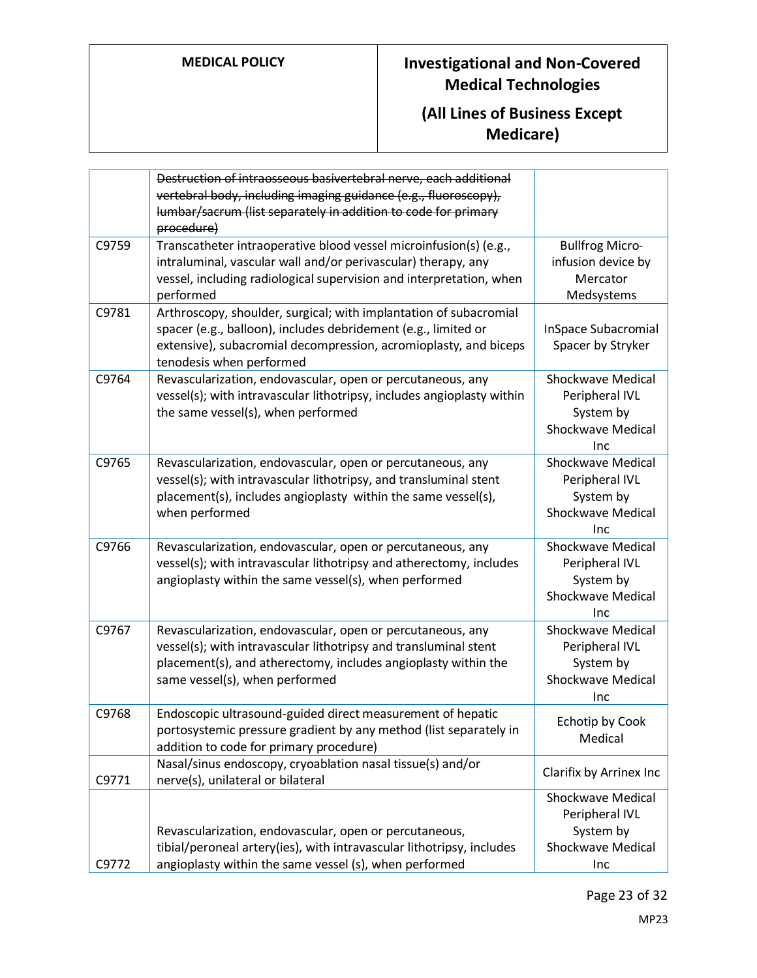|       | Destruction of intraosseous basivertebral nerve, each additional<br>vertebral body, including imaging guidance (e.g., fluoroscopy),<br>lumbar/sacrum (list separately in addition to code for primary<br>procedure)                 |                                                                                            |
|-------|-------------------------------------------------------------------------------------------------------------------------------------------------------------------------------------------------------------------------------------|--------------------------------------------------------------------------------------------|
| C9759 | Transcatheter intraoperative blood vessel microinfusion(s) (e.g.,<br>intraluminal, vascular wall and/or perivascular) therapy, any<br>vessel, including radiological supervision and interpretation, when<br>performed              | <b>Bullfrog Micro-</b><br>infusion device by<br>Mercator<br>Medsystems                     |
| C9781 | Arthroscopy, shoulder, surgical; with implantation of subacromial<br>spacer (e.g., balloon), includes debridement (e.g., limited or<br>extensive), subacromial decompression, acromioplasty, and biceps<br>tenodesis when performed | <b>InSpace Subacromial</b><br>Spacer by Stryker                                            |
| C9764 | Revascularization, endovascular, open or percutaneous, any<br>vessel(s); with intravascular lithotripsy, includes angioplasty within<br>the same vessel(s), when performed                                                          | <b>Shockwave Medical</b><br>Peripheral IVL<br>System by<br><b>Shockwave Medical</b><br>Inc |
| C9765 | Revascularization, endovascular, open or percutaneous, any<br>vessel(s); with intravascular lithotripsy, and transluminal stent<br>placement(s), includes angioplasty within the same vessel(s),<br>when performed                  | <b>Shockwave Medical</b><br>Peripheral IVL<br>System by<br><b>Shockwave Medical</b><br>Inc |
| C9766 | Revascularization, endovascular, open or percutaneous, any<br>vessel(s); with intravascular lithotripsy and atherectomy, includes<br>angioplasty within the same vessel(s), when performed                                          | <b>Shockwave Medical</b><br>Peripheral IVL<br>System by<br><b>Shockwave Medical</b><br>Inc |
| C9767 | Revascularization, endovascular, open or percutaneous, any<br>vessel(s); with intravascular lithotripsy and transluminal stent<br>placement(s), and atherectomy, includes angioplasty within the<br>same vessel(s), when performed  | <b>Shockwave Medical</b><br>Peripheral IVL<br>System by<br><b>Shockwave Medical</b><br>Inc |
| C9768 | Endoscopic ultrasound-guided direct measurement of hepatic<br>portosystemic pressure gradient by any method (list separately in<br>addition to code for primary procedure)                                                          | Echotin by Cook<br>Medical                                                                 |
| C9771 | Nasal/sinus endoscopy, cryoablation nasal tissue(s) and/or<br>nerve(s), unilateral or bilateral                                                                                                                                     | Clarifix by Arrinex Inc                                                                    |
| C9772 | Revascularization, endovascular, open or percutaneous,<br>tibial/peroneal artery(ies), with intravascular lithotripsy, includes<br>angioplasty within the same vessel (s), when performed                                           | <b>Shockwave Medical</b><br>Peripheral IVL<br>System by<br>Shockwave Medical<br>Inc        |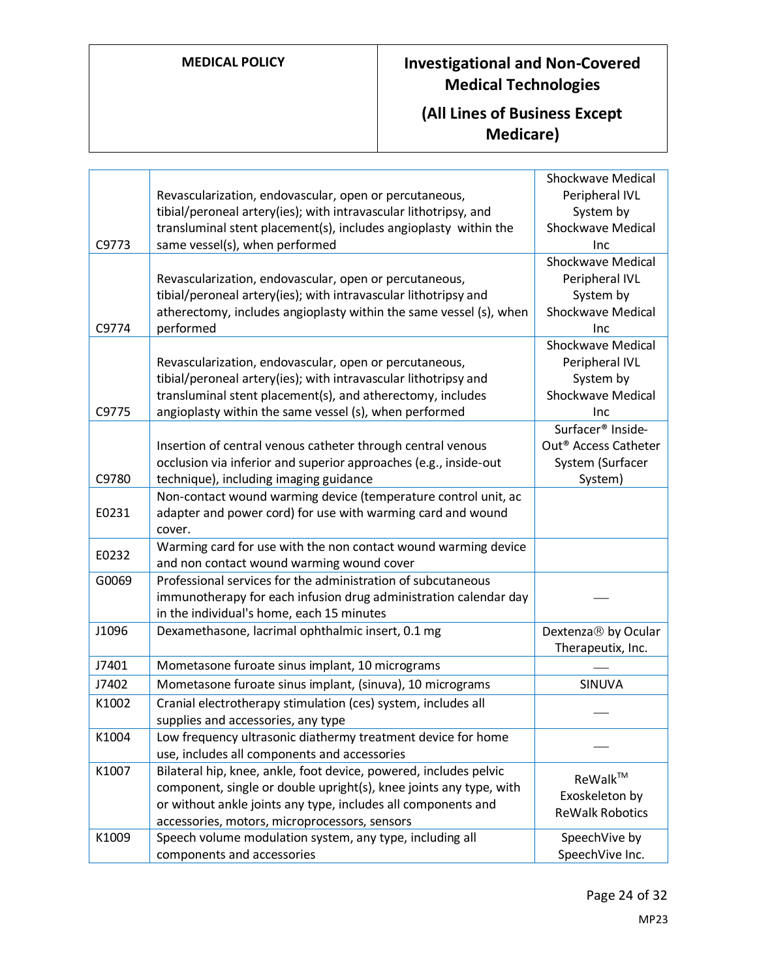| C9773 | Revascularization, endovascular, open or percutaneous,<br>tibial/peroneal artery(ies); with intravascular lithotripsy, and<br>transluminal stent placement(s), includes angioplasty within the<br>same vessel(s), when performed                          | <b>Shockwave Medical</b><br>Peripheral IVL<br>System by<br><b>Shockwave Medical</b><br>Inc       |
|-------|-----------------------------------------------------------------------------------------------------------------------------------------------------------------------------------------------------------------------------------------------------------|--------------------------------------------------------------------------------------------------|
| C9774 | Revascularization, endovascular, open or percutaneous,<br>tibial/peroneal artery(ies); with intravascular lithotripsy and<br>atherectomy, includes angioplasty within the same vessel (s), when<br>performed                                              | <b>Shockwave Medical</b><br>Peripheral IVL<br>System by<br><b>Shockwave Medical</b><br>Inc       |
| C9775 | Revascularization, endovascular, open or percutaneous,<br>tibial/peroneal artery(ies); with intravascular lithotripsy and<br>transluminal stent placement(s), and atherectomy, includes<br>angioplasty within the same vessel (s), when performed         | <b>Shockwave Medical</b><br>Peripheral IVL<br>System by<br><b>Shockwave Medical</b><br>Inc       |
| C9780 | Insertion of central venous catheter through central venous<br>occlusion via inferior and superior approaches (e.g., inside-out<br>technique), including imaging guidance                                                                                 | Surfacer <sup>®</sup> Inside-<br>Out <sup>®</sup> Access Catheter<br>System (Surfacer<br>System) |
| E0231 | Non-contact wound warming device (temperature control unit, ac<br>adapter and power cord) for use with warming card and wound<br>cover.                                                                                                                   |                                                                                                  |
| E0232 | Warming card for use with the non contact wound warming device<br>and non contact wound warming wound cover                                                                                                                                               |                                                                                                  |
| G0069 | Professional services for the administration of subcutaneous<br>immunotherapy for each infusion drug administration calendar day<br>in the individual's home, each 15 minutes                                                                             |                                                                                                  |
| J1096 | Dexamethasone, lacrimal ophthalmic insert, 0.1 mg                                                                                                                                                                                                         | Dextenza <sup>®</sup> by Ocular<br>Therapeutix, Inc.                                             |
| J7401 | Mometasone furoate sinus implant, 10 micrograms                                                                                                                                                                                                           |                                                                                                  |
| J7402 | Mometasone furoate sinus implant, (sinuva), 10 micrograms                                                                                                                                                                                                 | SINUVA                                                                                           |
| K1002 | Cranial electrotherapy stimulation (ces) system, includes all<br>supplies and accessories, any type                                                                                                                                                       |                                                                                                  |
| K1004 | Low frequency ultrasonic diathermy treatment device for home<br>use, includes all components and accessories                                                                                                                                              |                                                                                                  |
| K1007 | Bilateral hip, knee, ankle, foot device, powered, includes pelvic<br>component, single or double upright(s), knee joints any type, with<br>or without ankle joints any type, includes all components and<br>accessories, motors, microprocessors, sensors | ReWalk™<br>Exoskeleton by<br><b>ReWalk Robotics</b>                                              |
| K1009 | Speech volume modulation system, any type, including all<br>components and accessories                                                                                                                                                                    | SpeechVive by<br>SpeechVive Inc.                                                                 |
|       |                                                                                                                                                                                                                                                           |                                                                                                  |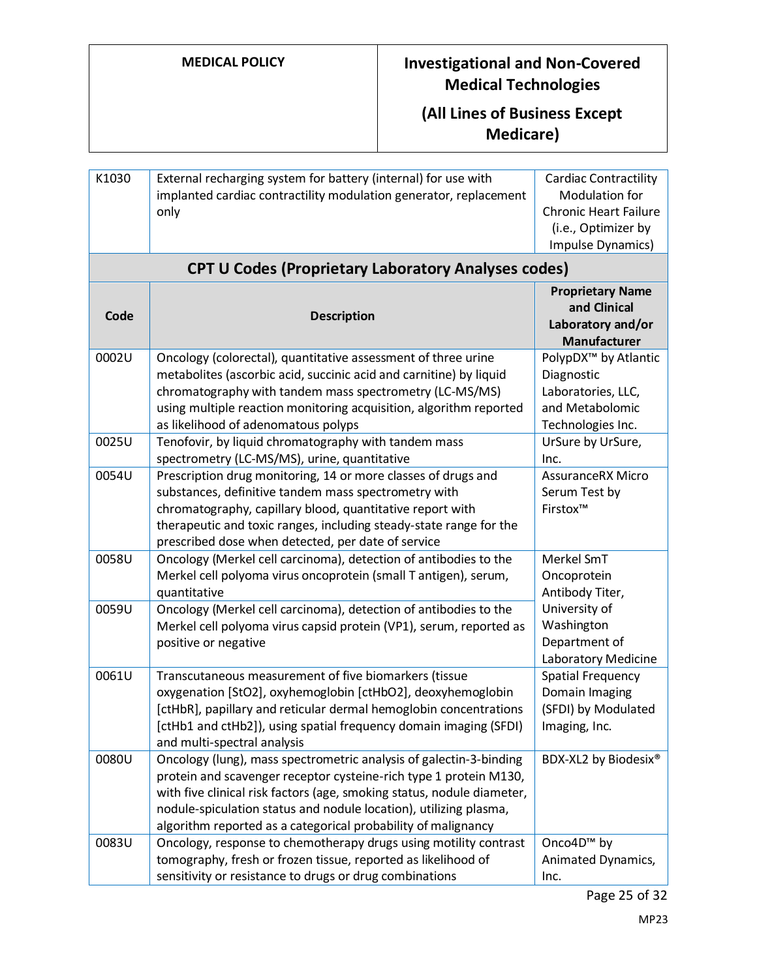#### **(All Lines of Business Except Medicare)**

| K1030 | External recharging system for battery (internal) for use with    | <b>Cardiac Contractility</b> |
|-------|-------------------------------------------------------------------|------------------------------|
|       | implanted cardiac contractility modulation generator, replacement | Modulation for               |
|       | only                                                              | <b>Chronic Heart Failure</b> |
|       |                                                                   | (i.e., Optimizer by          |
|       |                                                                   | Impulse Dynamics)            |

| Code  | <b>Description</b>                                                                                                                                                                                                                                                                                                                                      | <b>Proprietary Name</b><br>and Clinical<br>Laboratory and/or<br><b>Manufacturer</b>                          |
|-------|---------------------------------------------------------------------------------------------------------------------------------------------------------------------------------------------------------------------------------------------------------------------------------------------------------------------------------------------------------|--------------------------------------------------------------------------------------------------------------|
| 0002U | Oncology (colorectal), quantitative assessment of three urine<br>metabolites (ascorbic acid, succinic acid and carnitine) by liquid<br>chromatography with tandem mass spectrometry (LC-MS/MS)<br>using multiple reaction monitoring acquisition, algorithm reported<br>as likelihood of adenomatous polyps                                             | PolypDX <sup>™</sup> by Atlantic<br>Diagnostic<br>Laboratories, LLC,<br>and Metabolomic<br>Technologies Inc. |
| 0025U | Tenofovir, by liquid chromatography with tandem mass<br>spectrometry (LC-MS/MS), urine, quantitative                                                                                                                                                                                                                                                    | UrSure by UrSure,<br>Inc.                                                                                    |
| 0054U | Prescription drug monitoring, 14 or more classes of drugs and<br>substances, definitive tandem mass spectrometry with<br>chromatography, capillary blood, quantitative report with<br>therapeutic and toxic ranges, including steady-state range for the<br>prescribed dose when detected, per date of service                                          | <b>AssuranceRX Micro</b><br>Serum Test by<br>Firstox™                                                        |
| 0058U | Oncology (Merkel cell carcinoma), detection of antibodies to the<br>Merkel cell polyoma virus oncoprotein (small T antigen), serum,<br>quantitative                                                                                                                                                                                                     | Merkel SmT<br>Oncoprotein<br>Antibody Titer,                                                                 |
| 0059U | Oncology (Merkel cell carcinoma), detection of antibodies to the<br>Merkel cell polyoma virus capsid protein (VP1), serum, reported as<br>positive or negative                                                                                                                                                                                          | University of<br>Washington<br>Department of<br>Laboratory Medicine                                          |
| 0061U | Transcutaneous measurement of five biomarkers (tissue<br>oxygenation [StO2], oxyhemoglobin [ctHbO2], deoxyhemoglobin<br>[ctHbR], papillary and reticular dermal hemoglobin concentrations<br>[ctHb1 and ctHb2]), using spatial frequency domain imaging (SFDI)<br>and multi-spectral analysis                                                           | <b>Spatial Frequency</b><br>Domain Imaging<br>(SFDI) by Modulated<br>Imaging, Inc.                           |
| 0080U | Oncology (lung), mass spectrometric analysis of galectin-3-binding<br>protein and scavenger receptor cysteine-rich type 1 protein M130,<br>with five clinical risk factors (age, smoking status, nodule diameter,<br>nodule-spiculation status and nodule location), utilizing plasma,<br>algorithm reported as a categorical probability of malignancy | BDX-XL2 by Biodesix®                                                                                         |
| 0083U | Oncology, response to chemotherapy drugs using motility contrast<br>tomography, fresh or frozen tissue, reported as likelihood of<br>sensitivity or resistance to drugs or drug combinations                                                                                                                                                            | Onco4D <sup>™</sup> by<br>Animated Dynamics,<br>Inc.                                                         |

### **CPT U Codes (Proprietary Laboratory Analyses codes)**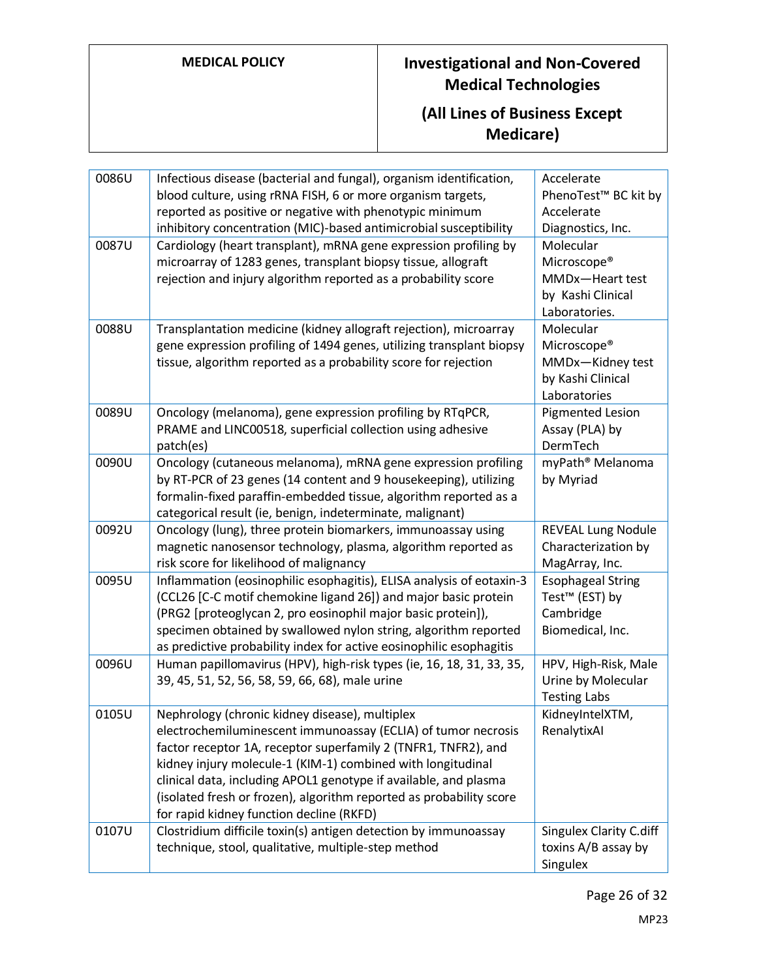| 0086U | Infectious disease (bacterial and fungal), organism identification,  | Accelerate                       |
|-------|----------------------------------------------------------------------|----------------------------------|
|       | blood culture, using rRNA FISH, 6 or more organism targets,          | PhenoTest <sup>™</sup> BC kit by |
|       | reported as positive or negative with phenotypic minimum             | Accelerate                       |
|       | inhibitory concentration (MIC)-based antimicrobial susceptibility    | Diagnostics, Inc.                |
| 0087U | Cardiology (heart transplant), mRNA gene expression profiling by     | Molecular                        |
|       | microarray of 1283 genes, transplant biopsy tissue, allograft        | Microscope®                      |
|       | rejection and injury algorithm reported as a probability score       | MMDx-Heart test                  |
|       |                                                                      | by Kashi Clinical                |
|       |                                                                      | Laboratories.                    |
| 0088U | Transplantation medicine (kidney allograft rejection), microarray    | Molecular                        |
|       | gene expression profiling of 1494 genes, utilizing transplant biopsy | Microscope®                      |
|       | tissue, algorithm reported as a probability score for rejection      | MMDx-Kidney test                 |
|       |                                                                      | by Kashi Clinical                |
|       |                                                                      | Laboratories                     |
| 0089U | Oncology (melanoma), gene expression profiling by RTqPCR,            | <b>Pigmented Lesion</b>          |
|       | PRAME and LINC00518, superficial collection using adhesive           | Assay (PLA) by                   |
|       | patch(es)                                                            | DermTech                         |
| 0090U | Oncology (cutaneous melanoma), mRNA gene expression profiling        | myPath <sup>®</sup> Melanoma     |
|       | by RT-PCR of 23 genes (14 content and 9 housekeeping), utilizing     | by Myriad                        |
|       | formalin-fixed paraffin-embedded tissue, algorithm reported as a     |                                  |
|       | categorical result (ie, benign, indeterminate, malignant)            |                                  |
| 0092U | Oncology (lung), three protein biomarkers, immunoassay using         | <b>REVEAL Lung Nodule</b>        |
|       | magnetic nanosensor technology, plasma, algorithm reported as        | Characterization by              |
|       | risk score for likelihood of malignancy                              | MagArray, Inc.                   |
| 0095U | Inflammation (eosinophilic esophagitis), ELISA analysis of eotaxin-3 | <b>Esophageal String</b>         |
|       | (CCL26 [C-C motif chemokine ligand 26]) and major basic protein      | Test <sup>™</sup> (EST) by       |
|       | (PRG2 [proteoglycan 2, pro eosinophil major basic protein]),         | Cambridge                        |
|       | specimen obtained by swallowed nylon string, algorithm reported      | Biomedical, Inc.                 |
|       | as predictive probability index for active eosinophilic esophagitis  |                                  |
| 0096U | Human papillomavirus (HPV), high-risk types (ie, 16, 18, 31, 33, 35, | HPV, High-Risk, Male             |
|       | 39, 45, 51, 52, 56, 58, 59, 66, 68), male urine                      | Urine by Molecular               |
|       |                                                                      | <b>Testing Labs</b>              |
| 0105U | Nephrology (chronic kidney disease), multiplex                       | KidneyIntelXTM,                  |
|       | electrochemiluminescent immunoassay (ECLIA) of tumor necrosis        | RenalytixAl                      |
|       | factor receptor 1A, receptor superfamily 2 (TNFR1, TNFR2), and       |                                  |
|       | kidney injury molecule-1 (KIM-1) combined with longitudinal          |                                  |
|       | clinical data, including APOL1 genotype if available, and plasma     |                                  |
|       | (isolated fresh or frozen), algorithm reported as probability score  |                                  |
|       | for rapid kidney function decline (RKFD)                             |                                  |
| 0107U | Clostridium difficile toxin(s) antigen detection by immunoassay      | <b>Singulex Clarity C.diff</b>   |
|       | technique, stool, qualitative, multiple-step method                  | toxins A/B assay by              |
|       |                                                                      | Singulex                         |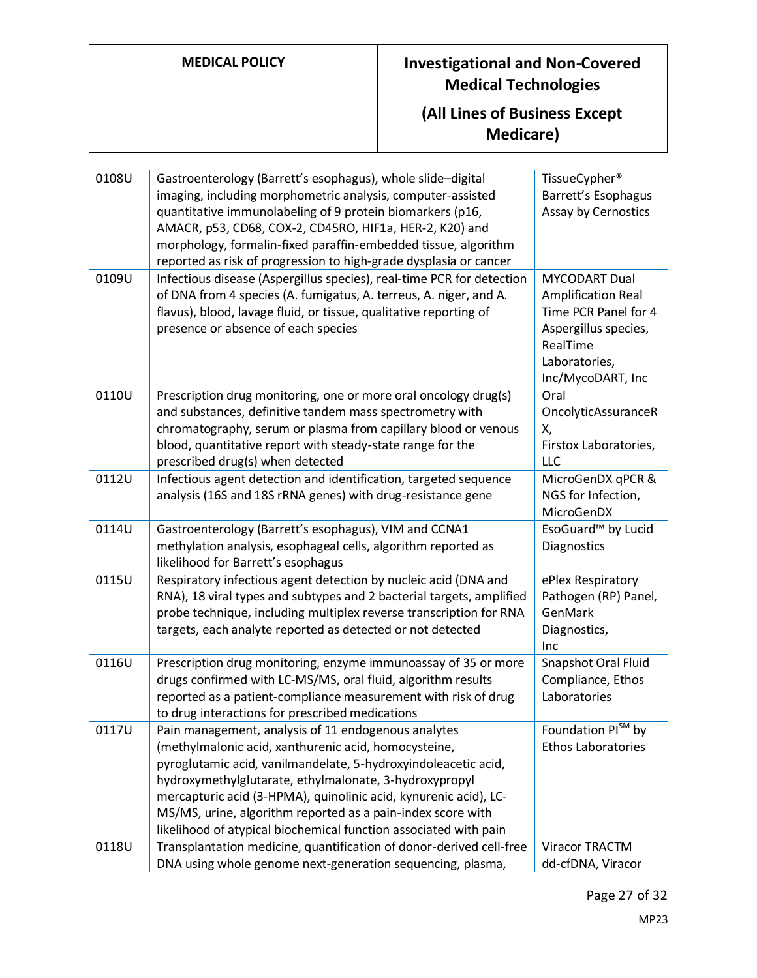| 0108U | Gastroenterology (Barrett's esophagus), whole slide-digital           | TissueCypher <sup>®</sup>      |
|-------|-----------------------------------------------------------------------|--------------------------------|
|       | imaging, including morphometric analysis, computer-assisted           | Barrett's Esophagus            |
|       | quantitative immunolabeling of 9 protein biomarkers (p16,             | Assay by Cernostics            |
|       | AMACR, p53, CD68, COX-2, CD45RO, HIF1a, HER-2, K20) and               |                                |
|       | morphology, formalin-fixed paraffin-embedded tissue, algorithm        |                                |
|       | reported as risk of progression to high-grade dysplasia or cancer     |                                |
| 0109U | Infectious disease (Aspergillus species), real-time PCR for detection | <b>MYCODART Dual</b>           |
|       | of DNA from 4 species (A. fumigatus, A. terreus, A. niger, and A.     | Amplification Real             |
|       | flavus), blood, lavage fluid, or tissue, qualitative reporting of     | Time PCR Panel for 4           |
|       | presence or absence of each species                                   | Aspergillus species,           |
|       |                                                                       | RealTime                       |
|       |                                                                       | Laboratories,                  |
|       |                                                                       | Inc/MycoDART, Inc              |
| 0110U | Prescription drug monitoring, one or more oral oncology drug(s)       | Oral                           |
|       | and substances, definitive tandem mass spectrometry with              | OncolyticAssuranceR            |
|       | chromatography, serum or plasma from capillary blood or venous        | Χ,                             |
|       | blood, quantitative report with steady-state range for the            | Firstox Laboratories,          |
|       | prescribed drug(s) when detected                                      | LLC                            |
| 0112U | Infectious agent detection and identification, targeted sequence      | MicroGenDX qPCR &              |
|       | analysis (16S and 18S rRNA genes) with drug-resistance gene           | NGS for Infection,             |
|       |                                                                       | MicroGenDX                     |
| 0114U | Gastroenterology (Barrett's esophagus), VIM and CCNA1                 | EsoGuard <sup>™</sup> by Lucid |
|       | methylation analysis, esophageal cells, algorithm reported as         | Diagnostics                    |
|       | likelihood for Barrett's esophagus                                    |                                |
| 0115U | Respiratory infectious agent detection by nucleic acid (DNA and       | ePlex Respiratory              |
|       | RNA), 18 viral types and subtypes and 2 bacterial targets, amplified  | Pathogen (RP) Panel,           |
|       | probe technique, including multiplex reverse transcription for RNA    | GenMark                        |
|       | targets, each analyte reported as detected or not detected            | Diagnostics,<br>Inc            |
| 0116U | Prescription drug monitoring, enzyme immunoassay of 35 or more        | Snapshot Oral Fluid            |
|       | drugs confirmed with LC-MS/MS, oral fluid, algorithm results          | Compliance, Ethos              |
|       | reported as a patient-compliance measurement with risk of drug        | Laboratories                   |
|       | to drug interactions for prescribed medications                       |                                |
| 0117U | Pain management, analysis of 11 endogenous analytes                   | Foundation PlSM by             |
|       | (methylmalonic acid, xanthurenic acid, homocysteine,                  | <b>Ethos Laboratories</b>      |
|       | pyroglutamic acid, vanilmandelate, 5-hydroxyindoleacetic acid,        |                                |
|       | hydroxymethylglutarate, ethylmalonate, 3-hydroxypropyl                |                                |
|       | mercapturic acid (3-HPMA), quinolinic acid, kynurenic acid), LC-      |                                |
|       | MS/MS, urine, algorithm reported as a pain-index score with           |                                |
|       | likelihood of atypical biochemical function associated with pain      |                                |
| 0118U | Transplantation medicine, quantification of donor-derived cell-free   | Viracor TRACTM                 |
|       | DNA using whole genome next-generation sequencing, plasma,            | dd-cfDNA, Viracor              |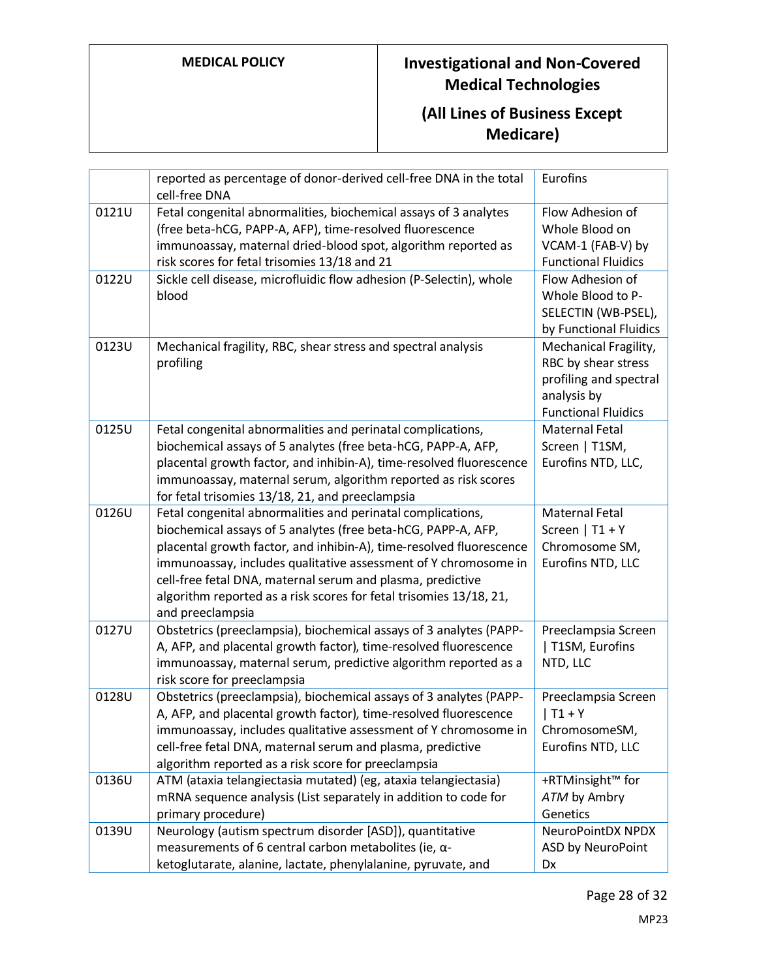|       | reported as percentage of donor-derived cell-free DNA in the total<br>cell-free DNA                                                                                                                                                                                                                                                                                                                                            | Eurofins                                                                                                            |
|-------|--------------------------------------------------------------------------------------------------------------------------------------------------------------------------------------------------------------------------------------------------------------------------------------------------------------------------------------------------------------------------------------------------------------------------------|---------------------------------------------------------------------------------------------------------------------|
| 0121U | Fetal congenital abnormalities, biochemical assays of 3 analytes<br>(free beta-hCG, PAPP-A, AFP), time-resolved fluorescence<br>immunoassay, maternal dried-blood spot, algorithm reported as<br>risk scores for fetal trisomies 13/18 and 21                                                                                                                                                                                  | Flow Adhesion of<br>Whole Blood on<br>VCAM-1 (FAB-V) by<br><b>Functional Fluidics</b>                               |
| 0122U | Sickle cell disease, microfluidic flow adhesion (P-Selectin), whole<br>blood                                                                                                                                                                                                                                                                                                                                                   | Flow Adhesion of<br>Whole Blood to P-<br>SELECTIN (WB-PSEL),<br>by Functional Fluidics                              |
| 0123U | Mechanical fragility, RBC, shear stress and spectral analysis<br>profiling                                                                                                                                                                                                                                                                                                                                                     | Mechanical Fragility,<br>RBC by shear stress<br>profiling and spectral<br>analysis by<br><b>Functional Fluidics</b> |
| 0125U | Fetal congenital abnormalities and perinatal complications,<br>biochemical assays of 5 analytes (free beta-hCG, PAPP-A, AFP,<br>placental growth factor, and inhibin-A), time-resolved fluorescence<br>immunoassay, maternal serum, algorithm reported as risk scores<br>for fetal trisomies 13/18, 21, and preeclampsia                                                                                                       | Maternal Fetal<br>Screen   T1SM,<br>Eurofins NTD, LLC,                                                              |
| 0126U | Fetal congenital abnormalities and perinatal complications,<br>biochemical assays of 5 analytes (free beta-hCG, PAPP-A, AFP,<br>placental growth factor, and inhibin-A), time-resolved fluorescence<br>immunoassay, includes qualitative assessment of Y chromosome in<br>cell-free fetal DNA, maternal serum and plasma, predictive<br>algorithm reported as a risk scores for fetal trisomies 13/18, 21,<br>and preeclampsia | Maternal Fetal<br>Screen   $T1 + Y$<br>Chromosome SM,<br>Eurofins NTD, LLC                                          |
| 0127U | Obstetrics (preeclampsia), biochemical assays of 3 analytes (PAPP-<br>A, AFP, and placental growth factor), time-resolved fluorescence<br>immunoassay, maternal serum, predictive algorithm reported as a<br>risk score for preeclampsia                                                                                                                                                                                       | Preeclampsia Screen<br>  T1SM, Eurofins<br>NTD, LLC                                                                 |
| 0128U | Obstetrics (preeclampsia), biochemical assays of 3 analytes (PAPP-<br>A, AFP, and placental growth factor), time-resolved fluorescence<br>immunoassay, includes qualitative assessment of Y chromosome in<br>cell-free fetal DNA, maternal serum and plasma, predictive<br>algorithm reported as a risk score for preeclampsia                                                                                                 | Preeclampsia Screen<br>$T1 + Y$<br>ChromosomeSM,<br>Eurofins NTD, LLC                                               |
| 0136U | ATM (ataxia telangiectasia mutated) (eg, ataxia telangiectasia)<br>mRNA sequence analysis (List separately in addition to code for<br>primary procedure)                                                                                                                                                                                                                                                                       | +RTMinsight™ for<br>ATM by Ambry<br>Genetics                                                                        |
| 0139U | Neurology (autism spectrum disorder [ASD]), quantitative<br>measurements of 6 central carbon metabolites (ie, $\alpha$ -<br>ketoglutarate, alanine, lactate, phenylalanine, pyruvate, and                                                                                                                                                                                                                                      | <b>NeuroPointDX NPDX</b><br>ASD by NeuroPoint<br>Dx                                                                 |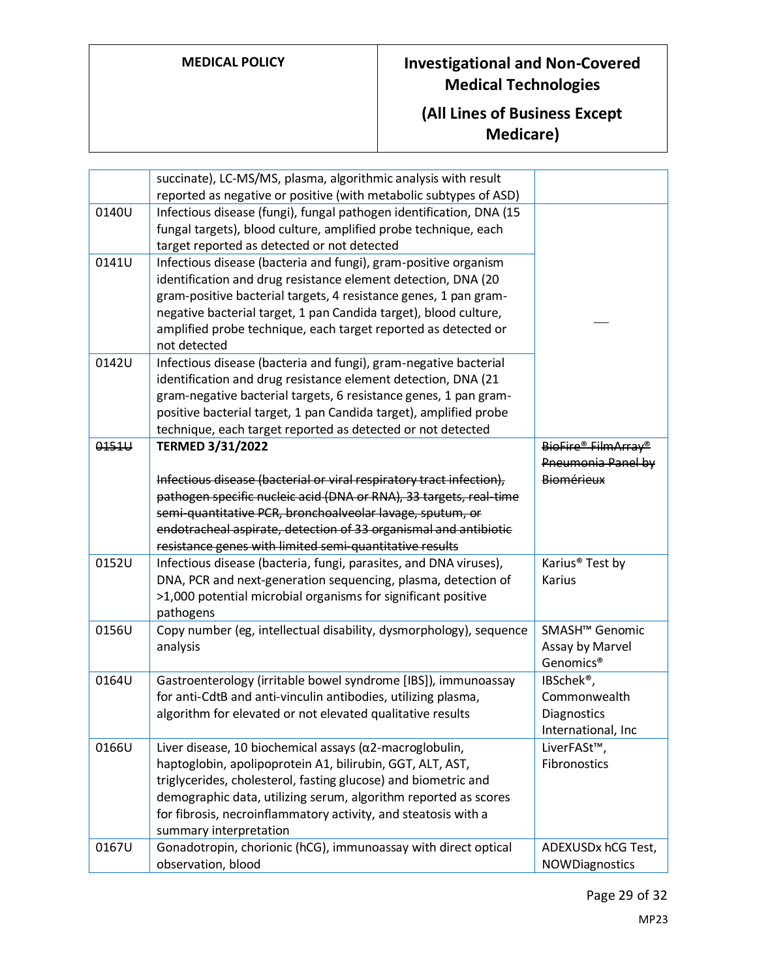|       | succinate), LC-MS/MS, plasma, algorithmic analysis with result<br>reported as negative or positive (with metabolic subtypes of ASD)                                                                                                                                                                                                                               |                                                                             |
|-------|-------------------------------------------------------------------------------------------------------------------------------------------------------------------------------------------------------------------------------------------------------------------------------------------------------------------------------------------------------------------|-----------------------------------------------------------------------------|
| 0140U | Infectious disease (fungi), fungal pathogen identification, DNA (15<br>fungal targets), blood culture, amplified probe technique, each<br>target reported as detected or not detected                                                                                                                                                                             |                                                                             |
| 0141U | Infectious disease (bacteria and fungi), gram-positive organism<br>identification and drug resistance element detection, DNA (20<br>gram-positive bacterial targets, 4 resistance genes, 1 pan gram-<br>negative bacterial target, 1 pan Candida target), blood culture,<br>amplified probe technique, each target reported as detected or<br>not detected        |                                                                             |
| 0142U | Infectious disease (bacteria and fungi), gram-negative bacterial<br>identification and drug resistance element detection, DNA (21<br>gram-negative bacterial targets, 6 resistance genes, 1 pan gram-<br>positive bacterial target, 1 pan Candida target), amplified probe<br>technique, each target reported as detected or not detected                         |                                                                             |
| 0151U | <b>TERMED 3/31/2022</b><br>Infectious disease (bacterial or viral respiratory tract infection),<br>pathogen specific nucleic acid (DNA or RNA), 33 targets, real-time<br>semi-quantitative PCR, bronchoalveolar lavage, sputum, or<br>endotracheal aspirate, detection of 33 organismal and antibiotic<br>resistance genes with limited semi-quantitative results | BioFire® FilmArray®<br>Pneumonia Panel by<br>Biomérieux                     |
| 0152U | Infectious disease (bacteria, fungi, parasites, and DNA viruses),<br>DNA, PCR and next-generation sequencing, plasma, detection of<br>>1,000 potential microbial organisms for significant positive<br>pathogens                                                                                                                                                  | Karius <sup>®</sup> Test by<br>Karius                                       |
| 0156U | Copy number (eg, intellectual disability, dysmorphology), sequence<br>analysis                                                                                                                                                                                                                                                                                    | SMASH <sup>™</sup> Genomic<br>Assay by Marvel<br>Genomics <sup>®</sup>      |
| 0164U | Gastroenterology (irritable bowel syndrome [IBS]), immunoassay<br>for anti-CdtB and anti-vinculin antibodies, utilizing plasma,<br>algorithm for elevated or not elevated qualitative results                                                                                                                                                                     | IBSchek <sup>®</sup> ,<br>Commonwealth<br>Diagnostics<br>International, Inc |
| 0166U | Liver disease, 10 biochemical assays ( $\alpha$ 2-macroglobulin,<br>haptoglobin, apolipoprotein A1, bilirubin, GGT, ALT, AST,<br>triglycerides, cholesterol, fasting glucose) and biometric and<br>demographic data, utilizing serum, algorithm reported as scores<br>for fibrosis, necroinflammatory activity, and steatosis with a<br>summary interpretation    | LiverFASt™,<br>Fibronostics                                                 |
| 0167U | Gonadotropin, chorionic (hCG), immunoassay with direct optical<br>observation, blood                                                                                                                                                                                                                                                                              | ADEXUSDx hCG Test,<br>NOWDiagnostics                                        |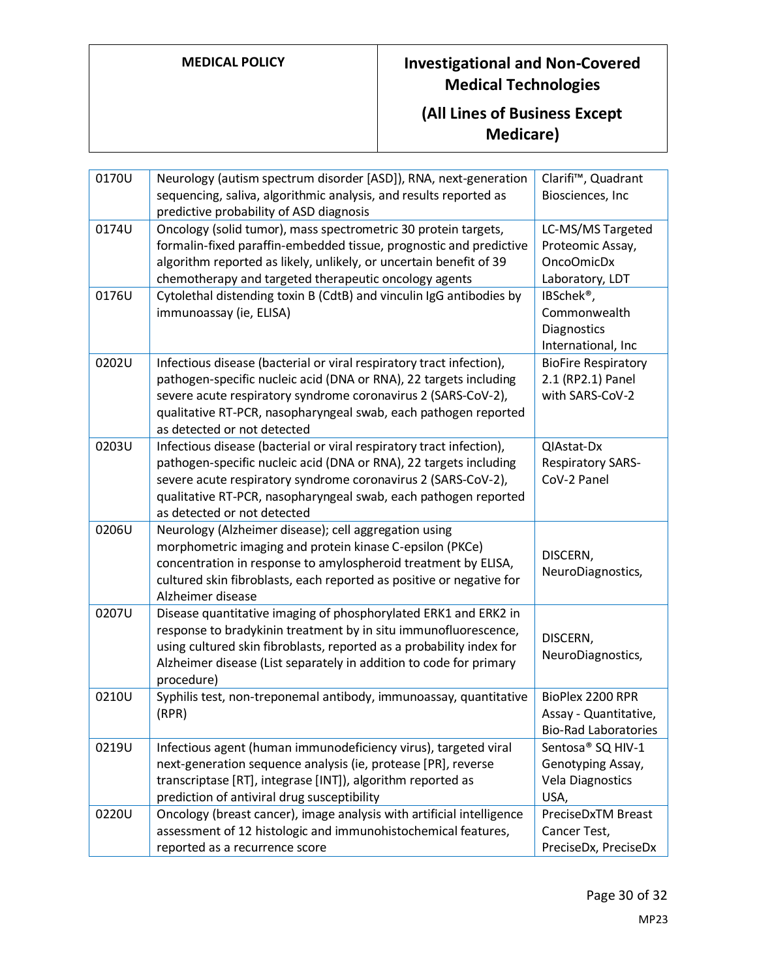| 0170U | Neurology (autism spectrum disorder [ASD]), RNA, next-generation      | Clarifi <sup>™</sup> , Quadrant |
|-------|-----------------------------------------------------------------------|---------------------------------|
|       | sequencing, saliva, algorithmic analysis, and results reported as     | Biosciences, Inc                |
|       | predictive probability of ASD diagnosis                               |                                 |
| 0174U | Oncology (solid tumor), mass spectrometric 30 protein targets,        | LC-MS/MS Targeted               |
|       | formalin-fixed paraffin-embedded tissue, prognostic and predictive    | Proteomic Assay,                |
|       | algorithm reported as likely, unlikely, or uncertain benefit of 39    | OncoOmicDx                      |
|       | chemotherapy and targeted therapeutic oncology agents                 | Laboratory, LDT                 |
| 0176U | Cytolethal distending toxin B (CdtB) and vinculin IgG antibodies by   | IBSchek <sup>®</sup> ,          |
|       | immunoassay (ie, ELISA)                                               | Commonwealth                    |
|       |                                                                       | Diagnostics                     |
|       |                                                                       | International, Inc              |
| 0202U | Infectious disease (bacterial or viral respiratory tract infection),  | <b>BioFire Respiratory</b>      |
|       | pathogen-specific nucleic acid (DNA or RNA), 22 targets including     | 2.1 (RP2.1) Panel               |
|       | severe acute respiratory syndrome coronavirus 2 (SARS-CoV-2),         | with SARS-CoV-2                 |
|       | qualitative RT-PCR, nasopharyngeal swab, each pathogen reported       |                                 |
|       | as detected or not detected                                           |                                 |
| 0203U | Infectious disease (bacterial or viral respiratory tract infection),  | QIAstat-Dx                      |
|       | pathogen-specific nucleic acid (DNA or RNA), 22 targets including     | <b>Respiratory SARS-</b>        |
|       | severe acute respiratory syndrome coronavirus 2 (SARS-CoV-2),         | CoV-2 Panel                     |
|       | qualitative RT-PCR, nasopharyngeal swab, each pathogen reported       |                                 |
|       | as detected or not detected                                           |                                 |
| 0206U | Neurology (Alzheimer disease); cell aggregation using                 |                                 |
|       | morphometric imaging and protein kinase C-epsilon (PKCe)              | DISCERN,                        |
|       | concentration in response to amylospheroid treatment by ELISA,        | NeuroDiagnostics,               |
|       | cultured skin fibroblasts, each reported as positive or negative for  |                                 |
|       | Alzheimer disease                                                     |                                 |
| 0207U | Disease quantitative imaging of phosphorylated ERK1 and ERK2 in       |                                 |
|       | response to bradykinin treatment by in situ immunofluorescence,       | DISCERN,                        |
|       | using cultured skin fibroblasts, reported as a probability index for  | NeuroDiagnostics,               |
|       | Alzheimer disease (List separately in addition to code for primary    |                                 |
|       | procedure)                                                            |                                 |
| 0210U | Syphilis test, non-treponemal antibody, immunoassay, quantitative     | BioPlex 2200 RPR                |
|       | (RPR)                                                                 | Assay - Quantitative,           |
|       |                                                                       | <b>Bio-Rad Laboratories</b>     |
| 0219U | Infectious agent (human immunodeficiency virus), targeted viral       | Sentosa <sup>®</sup> SQ HIV-1   |
|       | next-generation sequence analysis (ie, protease [PR], reverse         | Genotyping Assay,               |
|       | transcriptase [RT], integrase [INT]), algorithm reported as           | <b>Vela Diagnostics</b>         |
|       | prediction of antiviral drug susceptibility                           | USA,                            |
| 0220U | Oncology (breast cancer), image analysis with artificial intelligence | PreciseDxTM Breast              |
|       | assessment of 12 histologic and immunohistochemical features,         | Cancer Test,                    |
|       | reported as a recurrence score                                        | PreciseDx, PreciseDx            |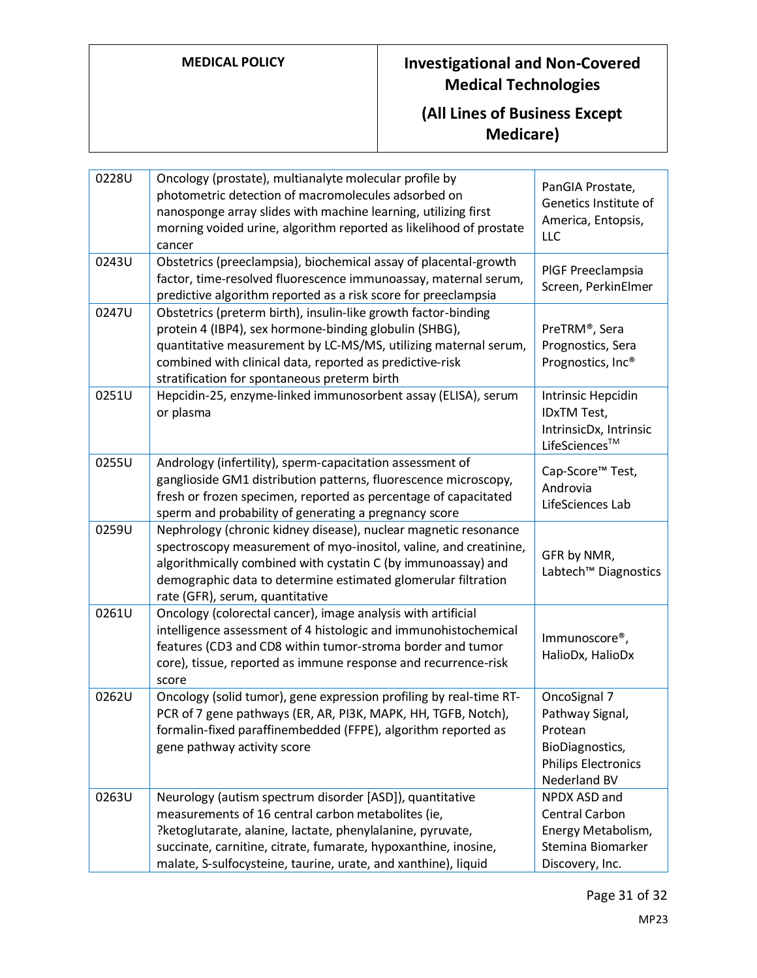| 0228U | Oncology (prostate), multianalyte molecular profile by<br>photometric detection of macromolecules adsorbed on<br>nanosponge array slides with machine learning, utilizing first<br>morning voided urine, algorithm reported as likelihood of prostate<br>cancer                                                   | PanGIA Prostate,<br>Genetics Institute of<br>America, Entopsis,<br><b>LLC</b>                               |
|-------|-------------------------------------------------------------------------------------------------------------------------------------------------------------------------------------------------------------------------------------------------------------------------------------------------------------------|-------------------------------------------------------------------------------------------------------------|
| 0243U | Obstetrics (preeclampsia), biochemical assay of placental-growth<br>factor, time-resolved fluorescence immunoassay, maternal serum,<br>predictive algorithm reported as a risk score for preeclampsia                                                                                                             | PIGF Preeclampsia<br>Screen, PerkinElmer                                                                    |
| 0247U | Obstetrics (preterm birth), insulin-like growth factor-binding<br>protein 4 (IBP4), sex hormone-binding globulin (SHBG),<br>quantitative measurement by LC-MS/MS, utilizing maternal serum,<br>combined with clinical data, reported as predictive-risk<br>stratification for spontaneous preterm birth           | PreTRM®, Sera<br>Prognostics, Sera<br>Prognostics, Inc®                                                     |
| 0251U | Hepcidin-25, enzyme-linked immunosorbent assay (ELISA), serum<br>or plasma                                                                                                                                                                                                                                        | Intrinsic Hepcidin<br>IDxTM Test,<br>IntrinsicDx, Intrinsic<br>LifeSciences™                                |
| 0255U | Andrology (infertility), sperm-capacitation assessment of<br>ganglioside GM1 distribution patterns, fluorescence microscopy,<br>fresh or frozen specimen, reported as percentage of capacitated<br>sperm and probability of generating a pregnancy score                                                          | Cap-Score™ Test,<br>Androvia<br>LifeSciences Lab                                                            |
| 0259U | Nephrology (chronic kidney disease), nuclear magnetic resonance<br>spectroscopy measurement of myo-inositol, valine, and creatinine,<br>algorithmically combined with cystatin C (by immunoassay) and<br>demographic data to determine estimated glomerular filtration<br>rate (GFR), serum, quantitative         | GFR by NMR,<br>Labtech <sup>™</sup> Diagnostics                                                             |
| 0261U | Oncology (colorectal cancer), image analysis with artificial<br>intelligence assessment of 4 histologic and immunohistochemical<br>features (CD3 and CD8 within tumor-stroma border and tumor<br>core), tissue, reported as immune response and recurrence-risk<br>score                                          | Immunoscore <sup>®</sup> ,<br>HalioDx, HalioDx                                                              |
| 0262U | Oncology (solid tumor), gene expression profiling by real-time RT-<br>PCR of 7 gene pathways (ER, AR, PI3K, MAPK, HH, TGFB, Notch),<br>formalin-fixed paraffinembedded (FFPE), algorithm reported as<br>gene pathway activity score                                                                               | OncoSignal 7<br>Pathway Signal,<br>Protean<br>BioDiagnostics,<br><b>Philips Electronics</b><br>Nederland BV |
| 0263U | Neurology (autism spectrum disorder [ASD]), quantitative<br>measurements of 16 central carbon metabolites (ie,<br>?ketoglutarate, alanine, lactate, phenylalanine, pyruvate,<br>succinate, carnitine, citrate, fumarate, hypoxanthine, inosine,<br>malate, S-sulfocysteine, taurine, urate, and xanthine), liquid | NPDX ASD and<br>Central Carbon<br>Energy Metabolism,<br>Stemina Biomarker<br>Discovery, Inc.                |